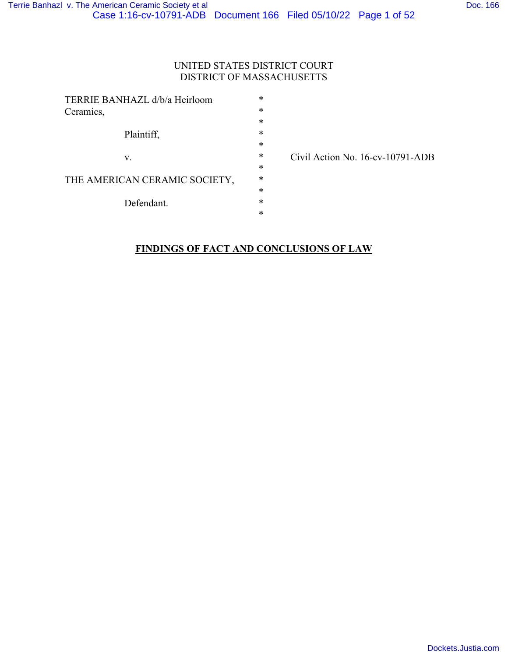### UNITED STATES DISTRICT COURT DISTRICT OF MASSACHUSETTS

| TERRIE BANHAZL d/b/a Heirloom |   |  |  |
|-------------------------------|---|--|--|
| Ceramics,                     | * |  |  |
|                               | * |  |  |
| Plaintiff,                    | * |  |  |
|                               | * |  |  |
| V.                            | * |  |  |
|                               | * |  |  |
| THE AMERICAN CERAMIC SOCIETY, |   |  |  |
|                               | * |  |  |
| Defendant.                    | * |  |  |
|                               | ж |  |  |
|                               |   |  |  |

Civil Action No. 16-cv-10791-ADB

# **FINDINGS OF FACT AND CONCLUSIONS OF LAW**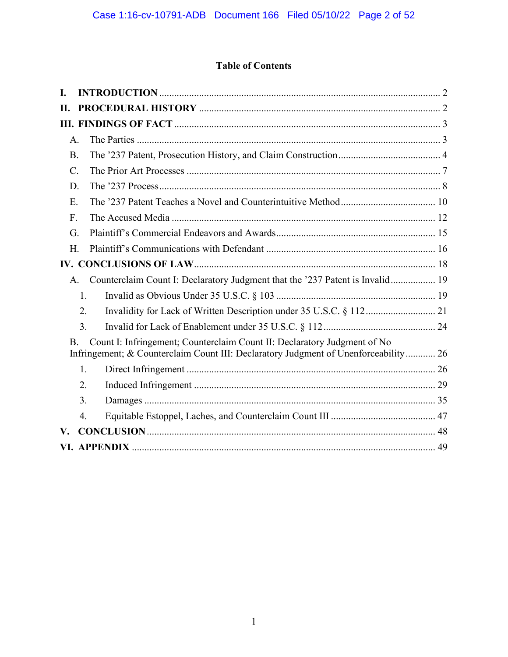# **Table of Contents**

| L.              |    |                                                                                                                                                                 |
|-----------------|----|-----------------------------------------------------------------------------------------------------------------------------------------------------------------|
| <b>II.</b>      |    |                                                                                                                                                                 |
|                 |    |                                                                                                                                                                 |
| $A$ .           |    |                                                                                                                                                                 |
| <b>B.</b>       |    |                                                                                                                                                                 |
| $\mathcal{C}$ . |    |                                                                                                                                                                 |
| D.              |    |                                                                                                                                                                 |
| E.              |    |                                                                                                                                                                 |
| F.              |    |                                                                                                                                                                 |
| G.              |    |                                                                                                                                                                 |
| Н.              |    |                                                                                                                                                                 |
|                 |    |                                                                                                                                                                 |
| A.              |    | Counterclaim Count I: Declaratory Judgment that the '237 Patent is Invalid 19                                                                                   |
|                 | 1. |                                                                                                                                                                 |
|                 | 2. |                                                                                                                                                                 |
|                 | 3. |                                                                                                                                                                 |
| <b>B.</b>       |    | Count I: Infringement; Counterclaim Count II: Declaratory Judgment of No<br>Infringement; & Counterclaim Count III: Declaratory Judgment of Unenforceability 26 |
|                 | 1. |                                                                                                                                                                 |
|                 | 2. |                                                                                                                                                                 |
|                 | 3. |                                                                                                                                                                 |
|                 | 4. |                                                                                                                                                                 |
| V.              |    |                                                                                                                                                                 |
|                 |    |                                                                                                                                                                 |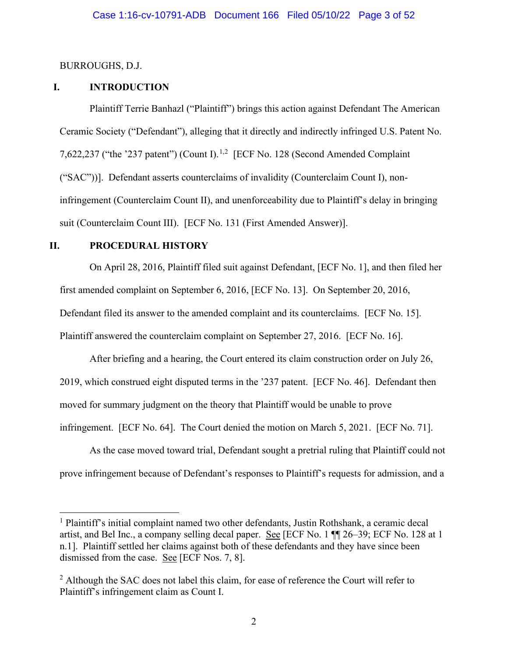#### BURROUGHS, D.J.

### **I. INTRODUCTION**

Plaintiff Terrie Banhazl ("Plaintiff") brings this action against Defendant The American Ceramic Society ("Defendant"), alleging that it directly and indirectly infringed U.S. Patent No. 7,622,237 ("the '237 patent") (Count I).<sup>1,2</sup> [ECF No. 128 (Second Amended Complaint ("SAC"))]. Defendant asserts counterclaims of invalidity (Counterclaim Count I), noninfringement (Counterclaim Count II), and unenforceability due to Plaintiff's delay in bringing suit (Counterclaim Count III). [ECF No. 131 (First Amended Answer)].

### **II. PROCEDURAL HISTORY**

On April 28, 2016, Plaintiff filed suit against Defendant, [ECF No. 1], and then filed her first amended complaint on September 6, 2016, [ECF No. 13]. On September 20, 2016, Defendant filed its answer to the amended complaint and its counterclaims. [ECF No. 15]. Plaintiff answered the counterclaim complaint on September 27, 2016. [ECF No. 16].

After briefing and a hearing, the Court entered its claim construction order on July 26, 2019, which construed eight disputed terms in the '237 patent. [ECF No. 46]. Defendant then moved for summary judgment on the theory that Plaintiff would be unable to prove infringement. [ECF No. 64]. The Court denied the motion on March 5, 2021. [ECF No. 71].

As the case moved toward trial, Defendant sought a pretrial ruling that Plaintiff could not prove infringement because of Defendant's responses to Plaintiff's requests for admission, and a

<sup>1</sup> Plaintiff's initial complaint named two other defendants, Justin Rothshank, a ceramic decal artist, and Bel Inc., a company selling decal paper. See [ECF No. 1 ¶¶ 26–39; ECF No. 128 at 1 n.1]. Plaintiff settled her claims against both of these defendants and they have since been dismissed from the case. See [ECF Nos. 7, 8].

 $2$  Although the SAC does not label this claim, for ease of reference the Court will refer to Plaintiff's infringement claim as Count I.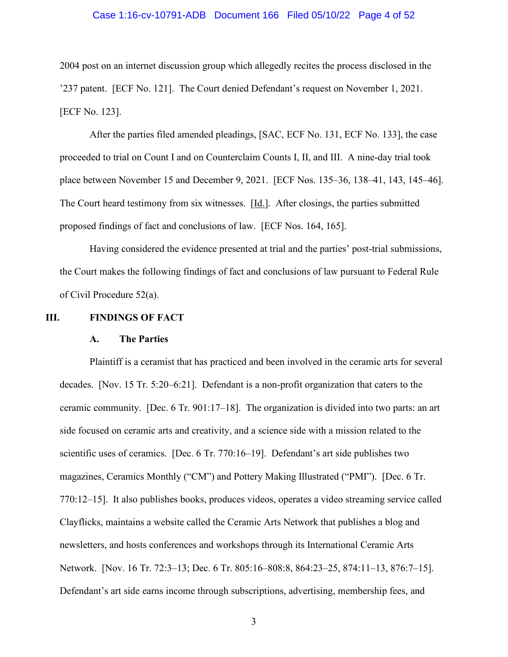#### Case 1:16-cv-10791-ADB Document 166 Filed 05/10/22 Page 4 of 52

2004 post on an internet discussion group which allegedly recites the process disclosed in the '237 patent. [ECF No. 121]. The Court denied Defendant's request on November 1, 2021. [ECF No. 123].

After the parties filed amended pleadings, [SAC, ECF No. 131, ECF No. 133], the case proceeded to trial on Count I and on Counterclaim Counts I, II, and III. A nine-day trial took place between November 15 and December 9, 2021. [ECF Nos. 135–36, 138–41, 143, 145–46]. The Court heard testimony from six witnesses. [Id.]. After closings, the parties submitted proposed findings of fact and conclusions of law. [ECF Nos. 164, 165].

Having considered the evidence presented at trial and the parties' post-trial submissions, the Court makes the following findings of fact and conclusions of law pursuant to Federal Rule of Civil Procedure 52(a).

#### **III. FINDINGS OF FACT**

#### **A. The Parties**

Plaintiff is a ceramist that has practiced and been involved in the ceramic arts for several decades. [Nov. 15 Tr. 5:20–6:21]. Defendant is a non-profit organization that caters to the ceramic community. [Dec. 6 Tr. 901:17–18]. The organization is divided into two parts: an art side focused on ceramic arts and creativity, and a science side with a mission related to the scientific uses of ceramics. [Dec. 6 Tr. 770:16–19]. Defendant's art side publishes two magazines, Ceramics Monthly ("CM") and Pottery Making Illustrated ("PMI"). [Dec. 6 Tr. 770:12–15]. It also publishes books, produces videos, operates a video streaming service called Clayflicks, maintains a website called the Ceramic Arts Network that publishes a blog and newsletters, and hosts conferences and workshops through its International Ceramic Arts Network. [Nov. 16 Tr. 72:3–13; Dec. 6 Tr. 805:16–808:8, 864:23–25, 874:11–13, 876:7–15]. Defendant's art side earns income through subscriptions, advertising, membership fees, and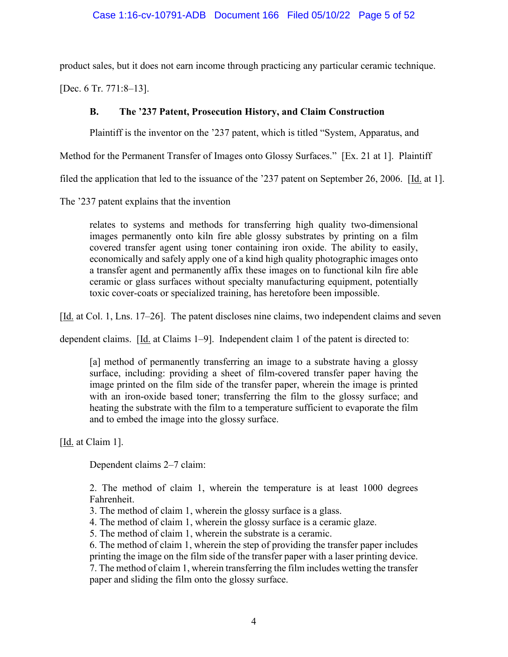product sales, but it does not earn income through practicing any particular ceramic technique.

[Dec. 6 Tr. 771:8–13].

# **B. The '237 Patent, Prosecution History, and Claim Construction**

Plaintiff is the inventor on the '237 patent, which is titled "System, Apparatus, and

Method for the Permanent Transfer of Images onto Glossy Surfaces." [Ex. 21 at 1]. Plaintiff

filed the application that led to the issuance of the '237 patent on September 26, 2006. [Id. at 1].

The '237 patent explains that the invention

relates to systems and methods for transferring high quality two-dimensional images permanently onto kiln fire able glossy substrates by printing on a film covered transfer agent using toner containing iron oxide. The ability to easily, economically and safely apply one of a kind high quality photographic images onto a transfer agent and permanently affix these images on to functional kiln fire able ceramic or glass surfaces without specialty manufacturing equipment, potentially toxic cover-coats or specialized training, has heretofore been impossible.

[Id. at Col. 1, Lns. 17–26]. The patent discloses nine claims, two independent claims and seven

dependent claims. [Id. at Claims 1–9]. Independent claim 1 of the patent is directed to:

[a] method of permanently transferring an image to a substrate having a glossy surface, including: providing a sheet of film-covered transfer paper having the image printed on the film side of the transfer paper, wherein the image is printed with an iron-oxide based toner; transferring the film to the glossy surface; and heating the substrate with the film to a temperature sufficient to evaporate the film and to embed the image into the glossy surface.

[Id. at Claim 1].

Dependent claims 2–7 claim:

2. The method of claim 1, wherein the temperature is at least 1000 degrees Fahrenheit.

3. The method of claim 1, wherein the glossy surface is a glass.

4. The method of claim 1, wherein the glossy surface is a ceramic glaze.

5. The method of claim 1, wherein the substrate is a ceramic.

6. The method of claim 1, wherein the step of providing the transfer paper includes printing the image on the film side of the transfer paper with a laser printing device.

7. The method of claim 1, wherein transferring the film includes wetting the transfer paper and sliding the film onto the glossy surface.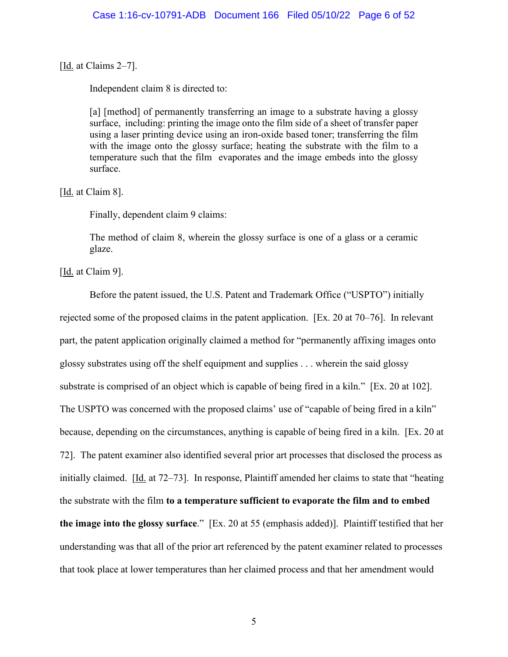[Id. at Claims 2–7].

Independent claim 8 is directed to:

[a] [method] of permanently transferring an image to a substrate having a glossy surface, including: printing the image onto the film side of a sheet of transfer paper using a laser printing device using an iron-oxide based toner; transferring the film with the image onto the glossy surface; heating the substrate with the film to a temperature such that the film evaporates and the image embeds into the glossy surface.

[Id. at Claim 8].

Finally, dependent claim 9 claims:

The method of claim 8, wherein the glossy surface is one of a glass or a ceramic glaze.

[Id. at Claim 9].

Before the patent issued, the U.S. Patent and Trademark Office ("USPTO") initially rejected some of the proposed claims in the patent application. [Ex. 20 at 70–76]. In relevant part, the patent application originally claimed a method for "permanently affixing images onto glossy substrates using off the shelf equipment and supplies . . . wherein the said glossy substrate is comprised of an object which is capable of being fired in a kiln." [Ex. 20 at 102]. The USPTO was concerned with the proposed claims' use of "capable of being fired in a kiln" because, depending on the circumstances, anything is capable of being fired in a kiln. [Ex. 20 at 72]. The patent examiner also identified several prior art processes that disclosed the process as initially claimed. [Id. at 72–73]. In response, Plaintiff amended her claims to state that "heating the substrate with the film **to a temperature sufficient to evaporate the film and to embed the image into the glossy surface**." [Ex. 20 at 55 (emphasis added)]. Plaintiff testified that her understanding was that all of the prior art referenced by the patent examiner related to processes that took place at lower temperatures than her claimed process and that her amendment would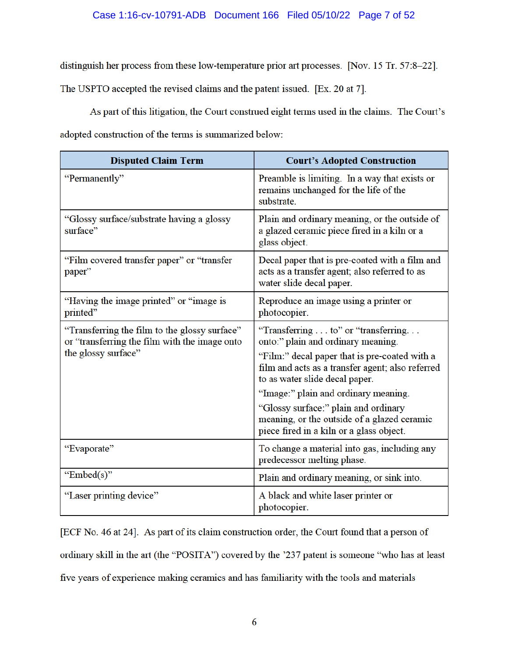### Case 1:16-cv-10791-ADB Document 166 Filed 05/10/22 Page 7 of 52

distinguish her process from these low-temperature prior art processes. [Nov. 15 Tr. 57:8-22].

The USPTO accepted the revised claims and the patent issued. [Ex. 20 at 7].

As part of this litigation, the Court construed eight terms used in the claims. The Court's adopted construction of the terms is summarized below:

| <b>Disputed Claim Term</b>                                                                                            | <b>Court's Adopted Construction</b>                                                                                                                                                                                                                                                                                                                                                         |
|-----------------------------------------------------------------------------------------------------------------------|---------------------------------------------------------------------------------------------------------------------------------------------------------------------------------------------------------------------------------------------------------------------------------------------------------------------------------------------------------------------------------------------|
| "Permanently"                                                                                                         | Preamble is limiting. In a way that exists or<br>remains unchanged for the life of the<br>substrate.                                                                                                                                                                                                                                                                                        |
| "Glossy surface/substrate having a glossy<br>surface"                                                                 | Plain and ordinary meaning, or the outside of<br>a glazed ceramic piece fired in a kiln or a<br>glass object.                                                                                                                                                                                                                                                                               |
| "Film covered transfer paper" or "transfer<br>paper"                                                                  | Decal paper that is pre-coated with a film and<br>acts as a transfer agent; also referred to as<br>water slide decal paper.                                                                                                                                                                                                                                                                 |
| "Having the image printed" or "image is<br>printed"                                                                   | Reproduce an image using a printer or<br>photocopier.                                                                                                                                                                                                                                                                                                                                       |
| "Transferring the film to the glossy surface"<br>or "transferring the film with the image onto<br>the glossy surface" | "Transferring to" or "transferring.<br>onto:" plain and ordinary meaning.<br>"Film:" decal paper that is pre-coated with a<br>film and acts as a transfer agent; also referred<br>to as water slide decal paper.<br>"Image:" plain and ordinary meaning.<br>"Glossy surface:" plain and ordinary<br>meaning, or the outside of a glazed ceramic<br>piece fired in a kiln or a glass object. |
| "Evaporate"                                                                                                           | To change a material into gas, including any<br>predecessor melting phase.                                                                                                                                                                                                                                                                                                                  |
| "Embed $(s)$ "                                                                                                        | Plain and ordinary meaning, or sink into.                                                                                                                                                                                                                                                                                                                                                   |
| "Laser printing device"                                                                                               | A black and white laser printer or<br>photocopier.                                                                                                                                                                                                                                                                                                                                          |

[ECF No. 46 at 24]. As part of its claim construction order, the Court found that a person of ordinary skill in the art (the "POSITA") covered by the '237 patent is someone "who has at least five years of experience making ceramics and has familiarity with the tools and materials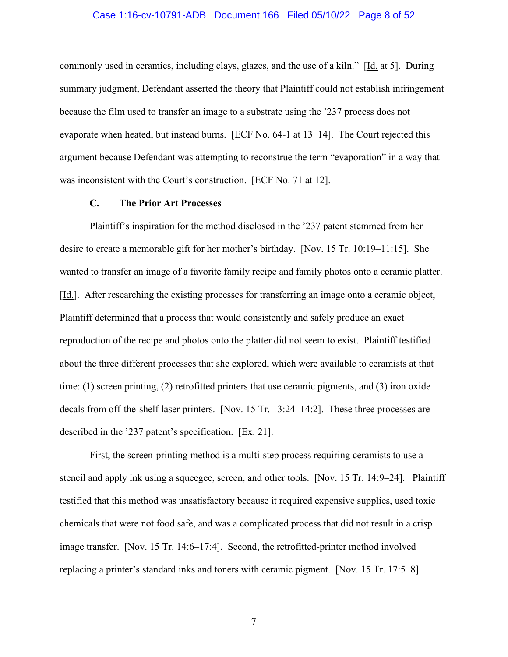#### Case 1:16-cv-10791-ADB Document 166 Filed 05/10/22 Page 8 of 52

commonly used in ceramics, including clays, glazes, and the use of a kiln." [Id. at 5]. During summary judgment, Defendant asserted the theory that Plaintiff could not establish infringement because the film used to transfer an image to a substrate using the '237 process does not evaporate when heated, but instead burns. [ECF No. 64-1 at 13–14]. The Court rejected this argument because Defendant was attempting to reconstrue the term "evaporation" in a way that was inconsistent with the Court's construction. [ECF No. 71 at 12].

### **C. The Prior Art Processes**

Plaintiff's inspiration for the method disclosed in the '237 patent stemmed from her desire to create a memorable gift for her mother's birthday. [Nov. 15 Tr. 10:19–11:15]. She wanted to transfer an image of a favorite family recipe and family photos onto a ceramic platter. [Id.]. After researching the existing processes for transferring an image onto a ceramic object, Plaintiff determined that a process that would consistently and safely produce an exact reproduction of the recipe and photos onto the platter did not seem to exist. Plaintiff testified about the three different processes that she explored, which were available to ceramists at that time: (1) screen printing, (2) retrofitted printers that use ceramic pigments, and (3) iron oxide decals from off-the-shelf laser printers. [Nov. 15 Tr. 13:24–14:2]. These three processes are described in the '237 patent's specification. [Ex. 21].

First, the screen-printing method is a multi-step process requiring ceramists to use a stencil and apply ink using a squeegee, screen, and other tools. [Nov. 15 Tr. 14:9–24]. Plaintiff testified that this method was unsatisfactory because it required expensive supplies, used toxic chemicals that were not food safe, and was a complicated process that did not result in a crisp image transfer. [Nov. 15 Tr. 14:6–17:4]. Second, the retrofitted-printer method involved replacing a printer's standard inks and toners with ceramic pigment. [Nov. 15 Tr. 17:5–8].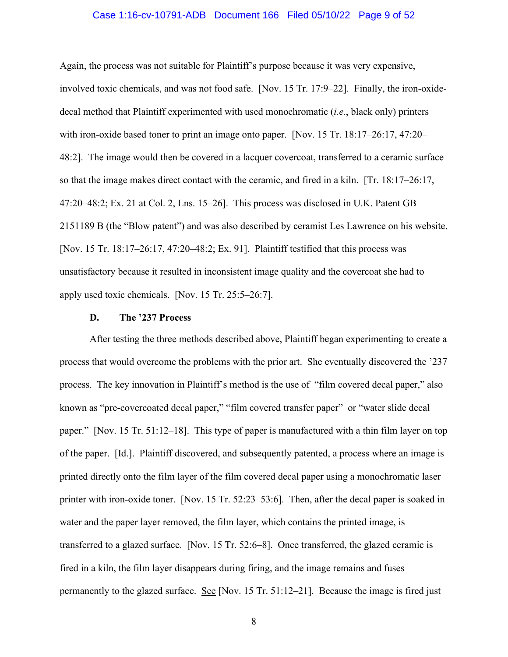#### Case 1:16-cv-10791-ADB Document 166 Filed 05/10/22 Page 9 of 52

Again, the process was not suitable for Plaintiff's purpose because it was very expensive, involved toxic chemicals, and was not food safe. [Nov. 15 Tr. 17:9–22]. Finally, the iron-oxidedecal method that Plaintiff experimented with used monochromatic (*i.e.*, black only) printers with iron-oxide based toner to print an image onto paper. [Nov. 15 Tr. 18:17–26:17, 47:20– 48:2]. The image would then be covered in a lacquer covercoat, transferred to a ceramic surface so that the image makes direct contact with the ceramic, and fired in a kiln. [Tr. 18:17–26:17, 47:20–48:2; Ex. 21 at Col. 2, Lns. 15–26]. This process was disclosed in U.K. Patent GB 2151189 B (the "Blow patent") and was also described by ceramist Les Lawrence on his website. [Nov. 15 Tr. 18:17–26:17, 47:20–48:2; Ex. 91]. Plaintiff testified that this process was unsatisfactory because it resulted in inconsistent image quality and the covercoat she had to apply used toxic chemicals. [Nov. 15 Tr. 25:5–26:7].

#### **D. The '237 Process**

After testing the three methods described above, Plaintiff began experimenting to create a process that would overcome the problems with the prior art. She eventually discovered the '237 process. The key innovation in Plaintiff's method is the use of "film covered decal paper," also known as "pre-covercoated decal paper," "film covered transfer paper" or "water slide decal paper." [Nov. 15 Tr. 51:12–18]. This type of paper is manufactured with a thin film layer on top of the paper. [Id.]. Plaintiff discovered, and subsequently patented, a process where an image is printed directly onto the film layer of the film covered decal paper using a monochromatic laser printer with iron-oxide toner. [Nov. 15 Tr. 52:23–53:6]. Then, after the decal paper is soaked in water and the paper layer removed, the film layer, which contains the printed image, is transferred to a glazed surface. [Nov. 15 Tr. 52:6–8]. Once transferred, the glazed ceramic is fired in a kiln, the film layer disappears during firing, and the image remains and fuses permanently to the glazed surface. See [Nov. 15 Tr. 51:12–21]. Because the image is fired just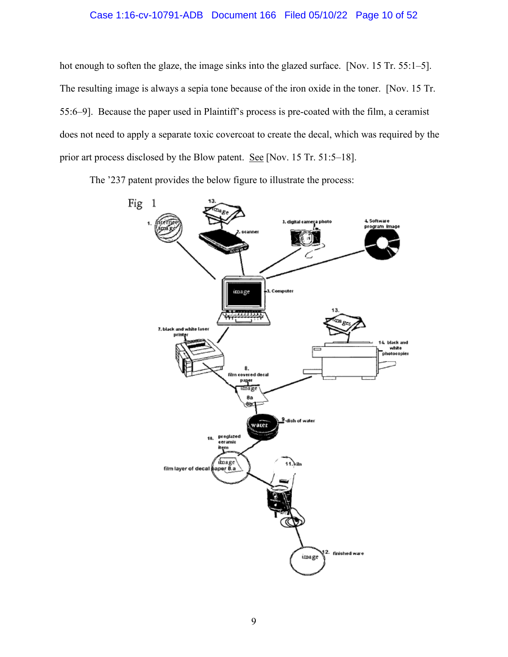### Case 1:16-cv-10791-ADB Document 166 Filed 05/10/22 Page 10 of 52

hot enough to soften the glaze, the image sinks into the glazed surface. [Nov. 15 Tr. 55:1–5]. The resulting image is always a sepia tone because of the iron oxide in the toner. [Nov. 15 Tr. 55:6–9]. Because the paper used in Plaintiff's process is pre-coated with the film, a ceramist does not need to apply a separate toxic covercoat to create the decal, which was required by the prior art process disclosed by the Blow patent. See [Nov. 15 Tr. 51:5–18].

The '237 patent provides the below figure to illustrate the process:

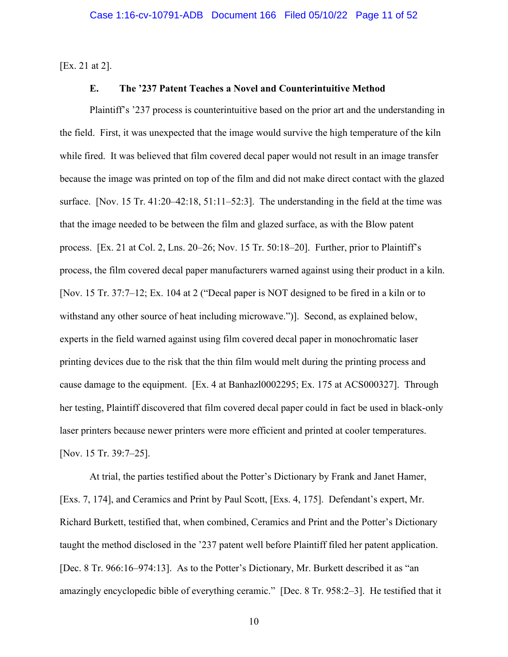[Ex. 21 at 2].

### **E. The '237 Patent Teaches a Novel and Counterintuitive Method**

Plaintiff's '237 process is counterintuitive based on the prior art and the understanding in the field. First, it was unexpected that the image would survive the high temperature of the kiln while fired. It was believed that film covered decal paper would not result in an image transfer because the image was printed on top of the film and did not make direct contact with the glazed surface. [Nov. 15 Tr. 41:20–42:18, 51:11–52:3]. The understanding in the field at the time was that the image needed to be between the film and glazed surface, as with the Blow patent process. [Ex. 21 at Col. 2, Lns. 20–26; Nov. 15 Tr. 50:18–20]. Further, prior to Plaintiff's process, the film covered decal paper manufacturers warned against using their product in a kiln. [Nov. 15 Tr. 37:7–12; Ex. 104 at 2 ("Decal paper is NOT designed to be fired in a kiln or to withstand any other source of heat including microwave.")]. Second, as explained below, experts in the field warned against using film covered decal paper in monochromatic laser printing devices due to the risk that the thin film would melt during the printing process and cause damage to the equipment. [Ex. 4 at Banhazl0002295; Ex. 175 at ACS000327]. Through her testing, Plaintiff discovered that film covered decal paper could in fact be used in black-only laser printers because newer printers were more efficient and printed at cooler temperatures. [Nov. 15 Tr. 39:7–25].

At trial, the parties testified about the Potter's Dictionary by Frank and Janet Hamer, [Exs. 7, 174], and Ceramics and Print by Paul Scott, [Exs. 4, 175]. Defendant's expert, Mr. Richard Burkett, testified that, when combined, Ceramics and Print and the Potter's Dictionary taught the method disclosed in the '237 patent well before Plaintiff filed her patent application. [Dec. 8 Tr. 966:16–974:13]. As to the Potter's Dictionary, Mr. Burkett described it as "an amazingly encyclopedic bible of everything ceramic." [Dec. 8 Tr. 958:2–3]. He testified that it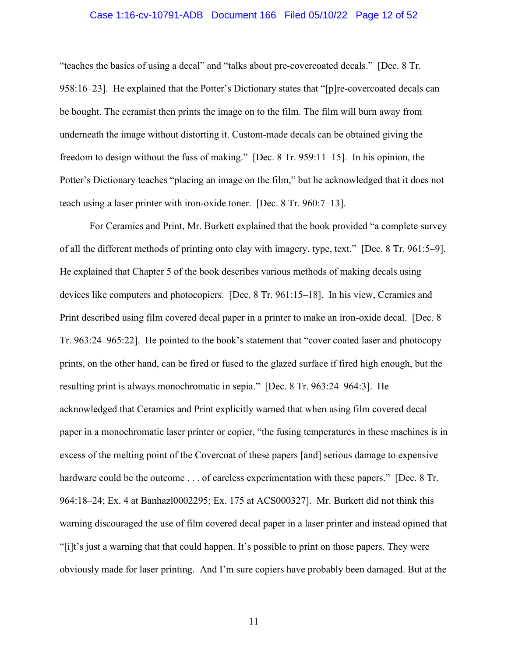#### Case 1:16-cv-10791-ADB Document 166 Filed 05/10/22 Page 12 of 52

"teaches the basics of using a decal" and "talks about pre-covercoated decals." [Dec. 8 Tr. 958:16–23]. He explained that the Potter's Dictionary states that "[p]re-covercoated decals can be bought. The ceramist then prints the image on to the film. The film will burn away from underneath the image without distorting it. Custom-made decals can be obtained giving the freedom to design without the fuss of making." [Dec. 8 Tr. 959:11–15]. In his opinion, the Potter's Dictionary teaches "placing an image on the film," but he acknowledged that it does not teach using a laser printer with iron-oxide toner. [Dec. 8 Tr. 960:7–13].

For Ceramics and Print, Mr. Burkett explained that the book provided "a complete survey of all the different methods of printing onto clay with imagery, type, text." [Dec. 8 Tr. 961:5–9]. He explained that Chapter 5 of the book describes various methods of making decals using devices like computers and photocopiers. [Dec. 8 Tr. 961:15–18]. In his view, Ceramics and Print described using film covered decal paper in a printer to make an iron-oxide decal. [Dec. 8 Tr. 963:24–965:22]. He pointed to the book's statement that "cover coated laser and photocopy prints, on the other hand, can be fired or fused to the glazed surface if fired high enough, but the resulting print is always monochromatic in sepia." [Dec. 8 Tr. 963:24–964:3]. He acknowledged that Ceramics and Print explicitly warned that when using film covered decal paper in a monochromatic laser printer or copier, "the fusing temperatures in these machines is in excess of the melting point of the Covercoat of these papers [and] serious damage to expensive hardware could be the outcome . . . of careless experimentation with these papers." [Dec. 8 Tr. 964:18–24; Ex. 4 at Banhazl0002295; Ex. 175 at ACS000327]. Mr. Burkett did not think this warning discouraged the use of film covered decal paper in a laser printer and instead opined that "[i]t's just a warning that that could happen. It's possible to print on those papers. They were obviously made for laser printing. And I'm sure copiers have probably been damaged. But at the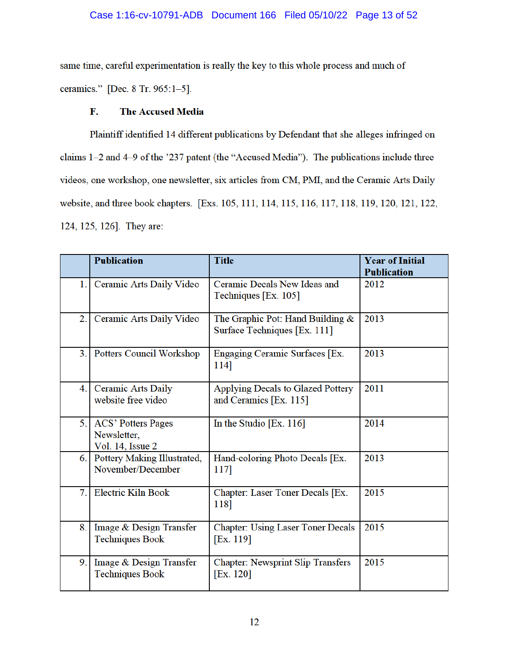## Case 1:16-cv-10791-ADB Document 166 Filed 05/10/22 Page 13 of 52

same time, careful experimentation is really the key to this whole process and much of ceramics." [Dec. 8 Tr. 965:1-5].

#### **The Accused Media** F.

Plaintiff identified 14 different publications by Defendant that she alleges infringed on claims 1-2 and 4-9 of the '237 patent (the "Accused Media"). The publications include three videos, one workshop, one newsletter, six articles from CM, PMI, and the Ceramic Arts Daily website, and three book chapters. [Exs. 105, 111, 114, 115, 116, 117, 118, 119, 120, 121, 122, 124, 125, 126]. They are:

|     | <b>Publication</b>                                           | <b>Title</b>                                                       | <b>Year of Initial</b><br><b>Publication</b> |
|-----|--------------------------------------------------------------|--------------------------------------------------------------------|----------------------------------------------|
| 1.1 | Ceramic Arts Daily Video                                     | Ceramic Decals New Ideas and<br>Techniques [Ex. 105]               | 2012                                         |
| 2.  | Ceramic Arts Daily Video                                     | The Graphic Pot: Hand Building &<br>Surface Techniques [Ex. 111]   | 2013                                         |
| 3.1 | Potters Council Workshop                                     | Engaging Ceramic Surfaces [Ex.<br>114]                             | 2013                                         |
| 4.1 | <b>Ceramic Arts Daily</b><br>website free video              | <b>Applying Decals to Glazed Pottery</b><br>and Ceramics [Ex. 115] | 2011                                         |
| 5.1 | <b>ACS' Potters Pages</b><br>Newsletter,<br>Vol. 14, Issue 2 | In the Studio $[Ex. 116]$                                          | 2014                                         |
|     | 6. Pottery Making Illustrated,<br>November/December          | Hand-coloring Photo Decals [Ex.<br>117]                            | 2013                                         |
| 7.  | <b>Electric Kiln Book</b>                                    | Chapter: Laser Toner Decals [Ex.<br>118]                           | 2015                                         |
| 8.  | Image & Design Transfer<br><b>Techniques Book</b>            | <b>Chapter: Using Laser Toner Decals</b><br>[Ex. 119]              | 2015                                         |
| 9.  | Image & Design Transfer<br><b>Techniques Book</b>            | <b>Chapter: Newsprint Slip Transfers</b><br>[Ex. 120]              | 2015                                         |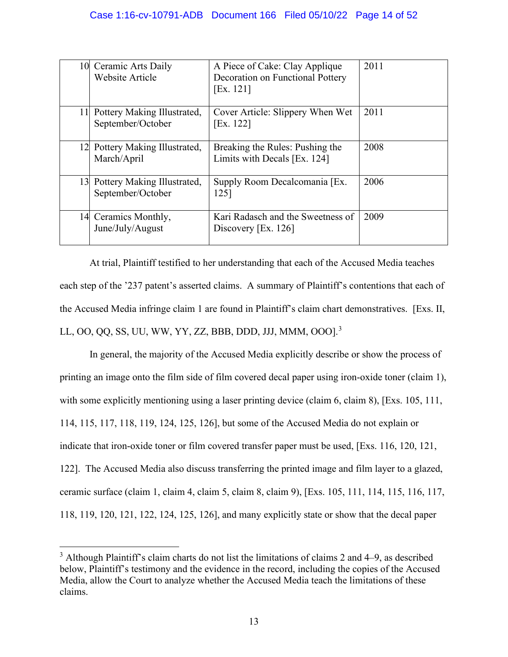|    | 10 Ceramic Arts Daily<br>Website Article            | A Piece of Cake: Clay Applique<br>Decoration on Functional Pottery<br>[Ex. 121] | 2011 |
|----|-----------------------------------------------------|---------------------------------------------------------------------------------|------|
| 11 | Pottery Making Illustrated,<br>September/October    | Cover Article: Slippery When Wet<br>[Ex. 122]                                   | 2011 |
|    | 12 Pottery Making Illustrated,<br>March/April       | Breaking the Rules: Pushing the<br>Limits with Decals [Ex. 124]                 | 2008 |
|    | 13 Pottery Making Illustrated,<br>September/October | Supply Room Decalcomania [Ex.<br>125]                                           | 2006 |
|    | 14 Ceramics Monthly,<br>June/July/August            | Kari Radasch and the Sweetness of<br>Discovery [Ex. 126]                        | 2009 |

At trial, Plaintiff testified to her understanding that each of the Accused Media teaches each step of the '237 patent's asserted claims. A summary of Plaintiff's contentions that each of the Accused Media infringe claim 1 are found in Plaintiff's claim chart demonstratives. [Exs. II, LL, OO, QQ, SS, UU, WW, YY, ZZ, BBB, DDD, JJJ, MMM, OOO].<sup>3</sup>

In general, the majority of the Accused Media explicitly describe or show the process of printing an image onto the film side of film covered decal paper using iron-oxide toner (claim 1), with some explicitly mentioning using a laser printing device (claim 6, claim 8), [Exs. 105, 111, 114, 115, 117, 118, 119, 124, 125, 126], but some of the Accused Media do not explain or indicate that iron-oxide toner or film covered transfer paper must be used, [Exs. 116, 120, 121, 122]. The Accused Media also discuss transferring the printed image and film layer to a glazed, ceramic surface (claim 1, claim 4, claim 5, claim 8, claim 9), [Exs. 105, 111, 114, 115, 116, 117, 118, 119, 120, 121, 122, 124, 125, 126], and many explicitly state or show that the decal paper

 $3$  Although Plaintiff's claim charts do not list the limitations of claims 2 and  $4-9$ , as described below, Plaintiff's testimony and the evidence in the record, including the copies of the Accused Media, allow the Court to analyze whether the Accused Media teach the limitations of these claims.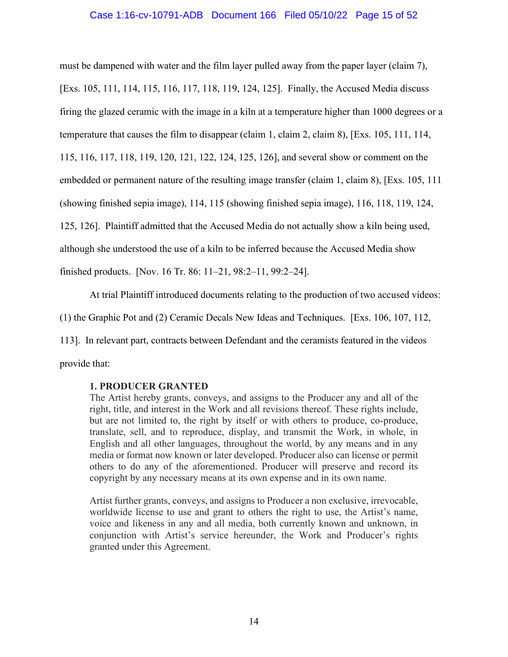#### Case 1:16-cv-10791-ADB Document 166 Filed 05/10/22 Page 15 of 52

must be dampened with water and the film layer pulled away from the paper layer (claim 7), [Exs. 105, 111, 114, 115, 116, 117, 118, 119, 124, 125]. Finally, the Accused Media discuss firing the glazed ceramic with the image in a kiln at a temperature higher than 1000 degrees or a temperature that causes the film to disappear (claim 1, claim 2, claim 8), [Exs. 105, 111, 114, 115, 116, 117, 118, 119, 120, 121, 122, 124, 125, 126], and several show or comment on the embedded or permanent nature of the resulting image transfer (claim 1, claim 8), [Exs. 105, 111 (showing finished sepia image), 114, 115 (showing finished sepia image), 116, 118, 119, 124, 125, 126]. Plaintiff admitted that the Accused Media do not actually show a kiln being used, although she understood the use of a kiln to be inferred because the Accused Media show finished products. [Nov. 16 Tr. 86: 11–21, 98:2–11, 99:2–24].

At trial Plaintiff introduced documents relating to the production of two accused videos:

(1) the Graphic Pot and (2) Ceramic Decals New Ideas and Techniques. [Exs. 106, 107, 112,

113]. In relevant part, contracts between Defendant and the ceramists featured in the videos

provide that:

### **1. PRODUCER GRANTED**

The Artist hereby grants, conveys, and assigns to the Producer any and all of the right, title, and interest in the Work and all revisions thereof. These rights include, but are not limited to, the right by itself or with others to produce, co-produce, translate, sell, and to reproduce, display, and transmit the Work, in whole, in English and all other languages, throughout the world, by any means and in any media or format now known or later developed. Producer also can license or permit others to do any of the aforementioned. Producer will preserve and record its copyright by any necessary means at its own expense and in its own name.

Artist further grants, conveys, and assigns to Producer a non exclusive, irrevocable, worldwide license to use and grant to others the right to use, the Artist's name, voice and likeness in any and all media, both currently known and unknown, in conjunction with Artist's service hereunder, the Work and Producer's rights granted under this Agreement.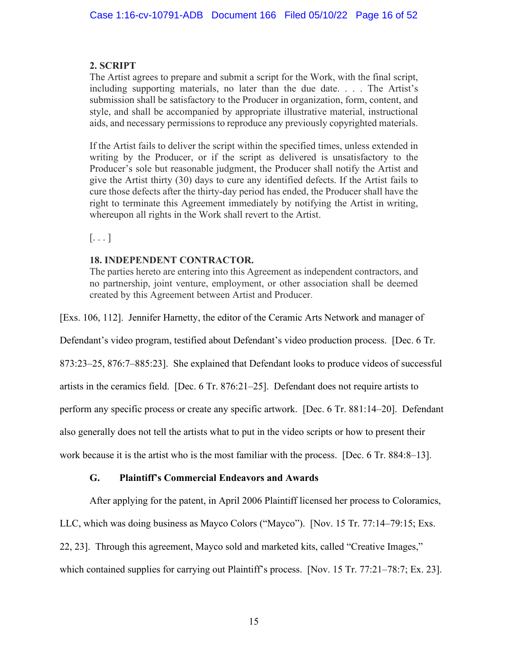### **2. SCRIPT**

The Artist agrees to prepare and submit a script for the Work, with the final script, including supporting materials, no later than the due date. . . . The Artist's submission shall be satisfactory to the Producer in organization, form, content, and style, and shall be accompanied by appropriate illustrative material, instructional aids, and necessary permissions to reproduce any previously copyrighted materials.

If the Artist fails to deliver the script within the specified times, unless extended in writing by the Producer, or if the script as delivered is unsatisfactory to the Producer's sole but reasonable judgment, the Producer shall notify the Artist and give the Artist thirty (30) days to cure any identified defects. If the Artist fails to cure those defects after the thirty-day period has ended, the Producer shall have the right to terminate this Agreement immediately by notifying the Artist in writing, whereupon all rights in the Work shall revert to the Artist.

 $\left[\ldots\right]$ 

### **18. INDEPENDENT CONTRACTOR.**

The parties hereto are entering into this Agreement as independent contractors, and no partnership, joint venture, employment, or other association shall be deemed created by this Agreement between Artist and Producer.

[Exs. 106, 112]. Jennifer Harnetty, the editor of the Ceramic Arts Network and manager of

Defendant's video program, testified about Defendant's video production process. [Dec. 6 Tr.

873:23–25, 876:7–885:23]. She explained that Defendant looks to produce videos of successful

artists in the ceramics field. [Dec. 6 Tr. 876:21–25]. Defendant does not require artists to

perform any specific process or create any specific artwork. [Dec. 6 Tr. 881:14–20]. Defendant

also generally does not tell the artists what to put in the video scripts or how to present their

work because it is the artist who is the most familiar with the process. [Dec. 6 Tr. 884:8–13].

## **G. Plaintiff's Commercial Endeavors and Awards**

After applying for the patent, in April 2006 Plaintiff licensed her process to Coloramics,

LLC, which was doing business as Mayco Colors ("Mayco"). [Nov. 15 Tr. 77:14–79:15; Exs.

22, 23]. Through this agreement, Mayco sold and marketed kits, called "Creative Images,"

which contained supplies for carrying out Plaintiff's process. [Nov. 15 Tr. 77:21–78:7; Ex. 23].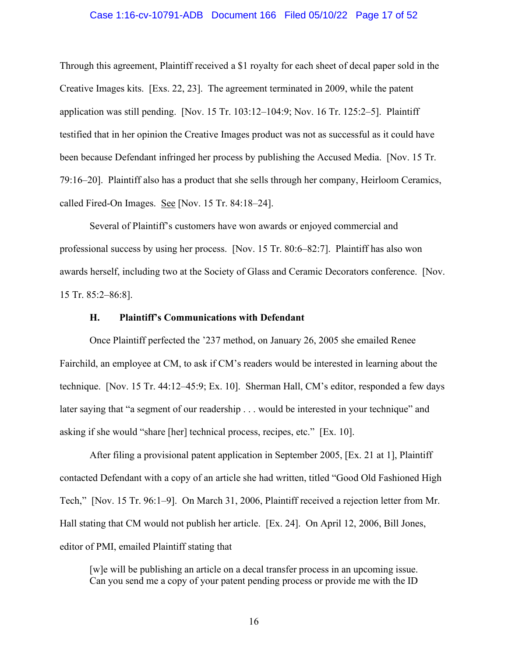#### Case 1:16-cv-10791-ADB Document 166 Filed 05/10/22 Page 17 of 52

Through this agreement, Plaintiff received a \$1 royalty for each sheet of decal paper sold in the Creative Images kits. [Exs. 22, 23]. The agreement terminated in 2009, while the patent application was still pending. [Nov. 15 Tr. 103:12–104:9; Nov. 16 Tr. 125:2–5]. Plaintiff testified that in her opinion the Creative Images product was not as successful as it could have been because Defendant infringed her process by publishing the Accused Media. [Nov. 15 Tr. 79:16–20]. Plaintiff also has a product that she sells through her company, Heirloom Ceramics, called Fired-On Images. See [Nov. 15 Tr. 84:18–24].

Several of Plaintiff's customers have won awards or enjoyed commercial and professional success by using her process. [Nov. 15 Tr. 80:6–82:7]. Plaintiff has also won awards herself, including two at the Society of Glass and Ceramic Decorators conference. [Nov. 15 Tr. 85:2–86:8].

#### **H. Plaintiff's Communications with Defendant**

Once Plaintiff perfected the '237 method, on January 26, 2005 she emailed Renee Fairchild, an employee at CM, to ask if CM's readers would be interested in learning about the technique. [Nov. 15 Tr. 44:12–45:9; Ex. 10]. Sherman Hall, CM's editor, responded a few days later saying that "a segment of our readership . . . would be interested in your technique" and asking if she would "share [her] technical process, recipes, etc." [Ex. 10].

After filing a provisional patent application in September 2005, [Ex. 21 at 1], Plaintiff contacted Defendant with a copy of an article she had written, titled "Good Old Fashioned High Tech," [Nov. 15 Tr. 96:1–9]. On March 31, 2006, Plaintiff received a rejection letter from Mr. Hall stating that CM would not publish her article. [Ex. 24]. On April 12, 2006, Bill Jones, editor of PMI, emailed Plaintiff stating that

[w]e will be publishing an article on a decal transfer process in an upcoming issue. Can you send me a copy of your patent pending process or provide me with the ID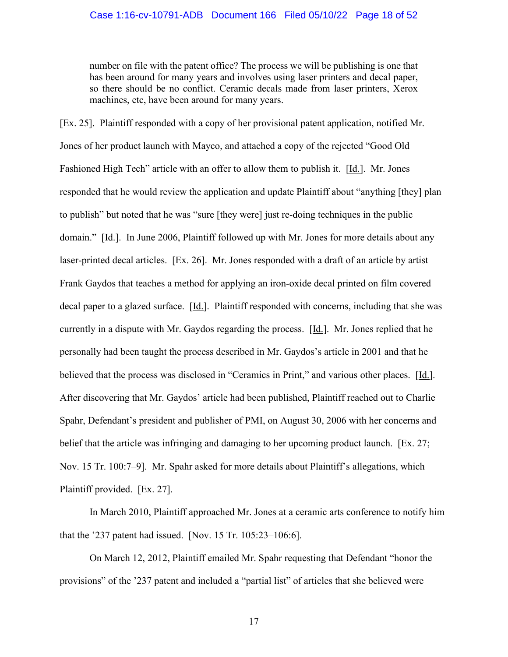number on file with the patent office? The process we will be publishing is one that has been around for many years and involves using laser printers and decal paper, so there should be no conflict. Ceramic decals made from laser printers, Xerox machines, etc, have been around for many years.

[Ex. 25]. Plaintiff responded with a copy of her provisional patent application, notified Mr. Jones of her product launch with Mayco, and attached a copy of the rejected "Good Old Fashioned High Tech" article with an offer to allow them to publish it. [Id.]. Mr. Jones responded that he would review the application and update Plaintiff about "anything [they] plan to publish" but noted that he was "sure [they were] just re-doing techniques in the public domain." [Id.]. In June 2006, Plaintiff followed up with Mr. Jones for more details about any laser-printed decal articles. [Ex. 26]. Mr. Jones responded with a draft of an article by artist Frank Gaydos that teaches a method for applying an iron-oxide decal printed on film covered decal paper to a glazed surface. [Id.]. Plaintiff responded with concerns, including that she was currently in a dispute with Mr. Gaydos regarding the process. [Id.]. Mr. Jones replied that he personally had been taught the process described in Mr. Gaydos's article in 2001 and that he believed that the process was disclosed in "Ceramics in Print," and various other places. [Id.]. After discovering that Mr. Gaydos' article had been published, Plaintiff reached out to Charlie Spahr, Defendant's president and publisher of PMI, on August 30, 2006 with her concerns and belief that the article was infringing and damaging to her upcoming product launch. [Ex. 27; Nov. 15 Tr. 100:7–9]. Mr. Spahr asked for more details about Plaintiff's allegations, which Plaintiff provided. [Ex. 27].

 In March 2010, Plaintiff approached Mr. Jones at a ceramic arts conference to notify him that the '237 patent had issued. [Nov. 15 Tr. 105:23–106:6].

 On March 12, 2012, Plaintiff emailed Mr. Spahr requesting that Defendant "honor the provisions" of the '237 patent and included a "partial list" of articles that she believed were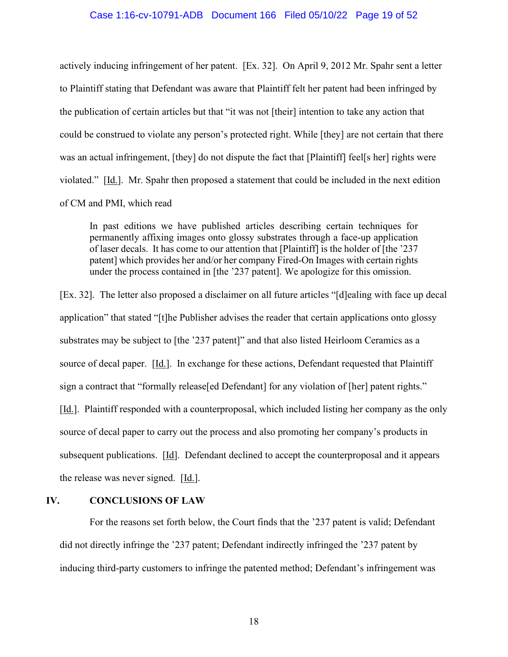#### Case 1:16-cv-10791-ADB Document 166 Filed 05/10/22 Page 19 of 52

actively inducing infringement of her patent. [Ex. 32]. On April 9, 2012 Mr. Spahr sent a letter to Plaintiff stating that Defendant was aware that Plaintiff felt her patent had been infringed by the publication of certain articles but that "it was not [their] intention to take any action that could be construed to violate any person's protected right. While [they] are not certain that there was an actual infringement, [they] do not dispute the fact that [Plaintiff] feel[s her] rights were violated." [Id.]. Mr. Spahr then proposed a statement that could be included in the next edition of CM and PMI, which read

In past editions we have published articles describing certain techniques for permanently affixing images onto glossy substrates through a face-up application of laser decals. It has come to our attention that [Plaintiff] is the holder of [the '237 patent] which provides her and/or her company Fired-On Images with certain rights under the process contained in [the '237 patent]. We apologize for this omission.

[Ex. 32]. The letter also proposed a disclaimer on all future articles "[d]ealing with face up decal application" that stated "[t]he Publisher advises the reader that certain applications onto glossy substrates may be subject to [the '237 patent]" and that also listed Heirloom Ceramics as a source of decal paper. [Id.]. In exchange for these actions, Defendant requested that Plaintiff sign a contract that "formally release [ed Defendant] for any violation of [her] patent rights." [Id.]. Plaintiff responded with a counterproposal, which included listing her company as the only source of decal paper to carry out the process and also promoting her company's products in subsequent publications. [Id]. Defendant declined to accept the counterproposal and it appears the release was never signed. [Id.].

### **IV. CONCLUSIONS OF LAW**

For the reasons set forth below, the Court finds that the '237 patent is valid; Defendant did not directly infringe the '237 patent; Defendant indirectly infringed the '237 patent by inducing third-party customers to infringe the patented method; Defendant's infringement was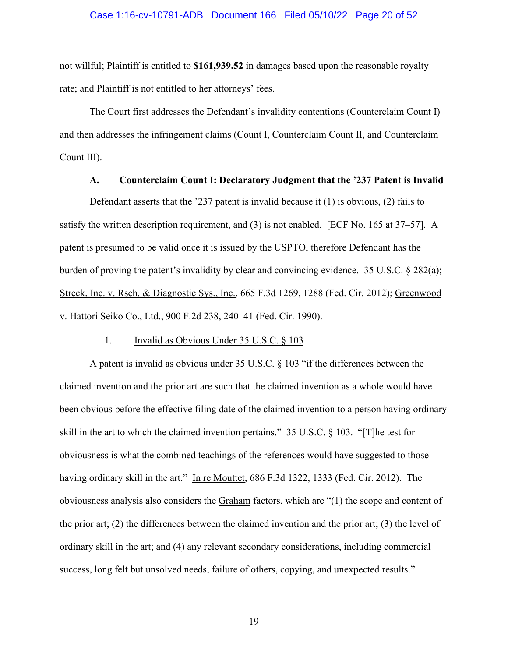#### Case 1:16-cv-10791-ADB Document 166 Filed 05/10/22 Page 20 of 52

not willful; Plaintiff is entitled to **\$161,939.52** in damages based upon the reasonable royalty rate; and Plaintiff is not entitled to her attorneys' fees.

The Court first addresses the Defendant's invalidity contentions (Counterclaim Count I) and then addresses the infringement claims (Count I, Counterclaim Count II, and Counterclaim Count III).

### **A. Counterclaim Count I: Declaratory Judgment that the '237 Patent is Invalid**

Defendant asserts that the '237 patent is invalid because it (1) is obvious, (2) fails to satisfy the written description requirement, and (3) is not enabled. [ECF No. 165 at 37–57]. A patent is presumed to be valid once it is issued by the USPTO, therefore Defendant has the burden of proving the patent's invalidity by clear and convincing evidence. 35 U.S.C. § 282(a); Streck, Inc. v. Rsch. & Diagnostic Sys., Inc., 665 F.3d 1269, 1288 (Fed. Cir. 2012); Greenwood v. Hattori Seiko Co., Ltd., 900 F.2d 238, 240–41 (Fed. Cir. 1990).

### 1. Invalid as Obvious Under 35 U.S.C. § 103

A patent is invalid as obvious under 35 U.S.C. § 103 "if the differences between the claimed invention and the prior art are such that the claimed invention as a whole would have been obvious before the effective filing date of the claimed invention to a person having ordinary skill in the art to which the claimed invention pertains." 35 U.S.C. § 103. "[T]he test for obviousness is what the combined teachings of the references would have suggested to those having ordinary skill in the art." In re Mouttet, 686 F.3d 1322, 1333 (Fed. Cir. 2012). The obviousness analysis also considers the Graham factors, which are "(1) the scope and content of the prior art; (2) the differences between the claimed invention and the prior art; (3) the level of ordinary skill in the art; and (4) any relevant secondary considerations, including commercial success, long felt but unsolved needs, failure of others, copying, and unexpected results."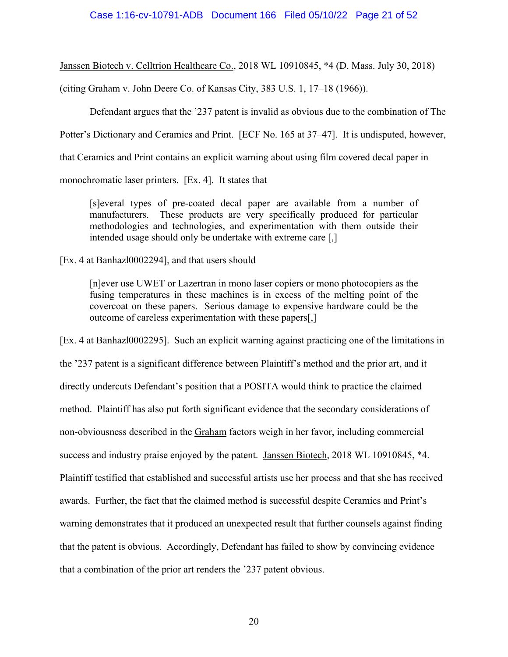Janssen Biotech v. Celltrion Healthcare Co., 2018 WL 10910845, \*4 (D. Mass. July 30, 2018)

(citing Graham v. John Deere Co. of Kansas City, 383 U.S. 1, 17–18 (1966)).

Defendant argues that the '237 patent is invalid as obvious due to the combination of The

Potter's Dictionary and Ceramics and Print. [ECF No. 165 at 37–47]. It is undisputed, however,

that Ceramics and Print contains an explicit warning about using film covered decal paper in

monochromatic laser printers. [Ex. 4]. It states that

[s]everal types of pre-coated decal paper are available from a number of manufacturers. These products are very specifically produced for particular methodologies and technologies, and experimentation with them outside their intended usage should only be undertake with extreme care [,]

[Ex. 4 at Banhazl0002294], and that users should

[n]ever use UWET or Lazertran in mono laser copiers or mono photocopiers as the fusing temperatures in these machines is in excess of the melting point of the covercoat on these papers. Serious damage to expensive hardware could be the outcome of careless experimentation with these papers[,]

[Ex. 4 at Banhazl0002295]. Such an explicit warning against practicing one of the limitations in the '237 patent is a significant difference between Plaintiff's method and the prior art, and it directly undercuts Defendant's position that a POSITA would think to practice the claimed method. Plaintiff has also put forth significant evidence that the secondary considerations of non-obviousness described in the Graham factors weigh in her favor, including commercial success and industry praise enjoyed by the patent. Janssen Biotech, 2018 WL 10910845, \*4. Plaintiff testified that established and successful artists use her process and that she has received awards. Further, the fact that the claimed method is successful despite Ceramics and Print's warning demonstrates that it produced an unexpected result that further counsels against finding that the patent is obvious. Accordingly, Defendant has failed to show by convincing evidence that a combination of the prior art renders the '237 patent obvious.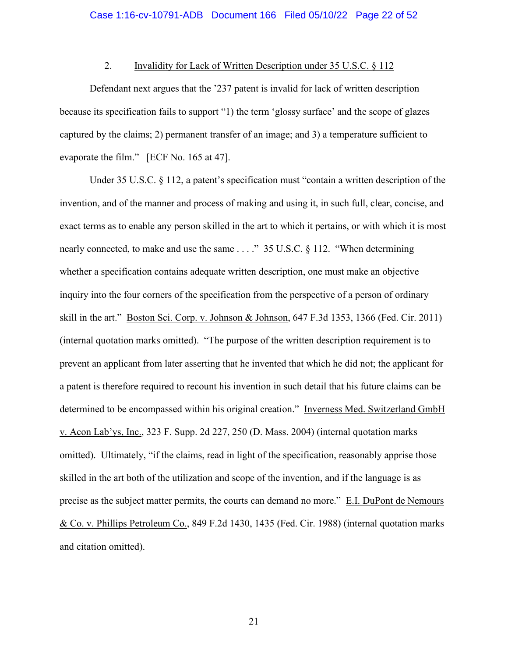### 2. Invalidity for Lack of Written Description under 35 U.S.C. § 112

Defendant next argues that the '237 patent is invalid for lack of written description because its specification fails to support "1) the term 'glossy surface' and the scope of glazes captured by the claims; 2) permanent transfer of an image; and 3) a temperature sufficient to evaporate the film." [ECF No. 165 at 47].

Under 35 U.S.C. § 112, a patent's specification must "contain a written description of the invention, and of the manner and process of making and using it, in such full, clear, concise, and exact terms as to enable any person skilled in the art to which it pertains, or with which it is most nearly connected, to make and use the same . . . . " 35 U.S.C. § 112. "When determining whether a specification contains adequate written description, one must make an objective inquiry into the four corners of the specification from the perspective of a person of ordinary skill in the art." Boston Sci. Corp. v. Johnson & Johnson, 647 F.3d 1353, 1366 (Fed. Cir. 2011) (internal quotation marks omitted). "The purpose of the written description requirement is to prevent an applicant from later asserting that he invented that which he did not; the applicant for a patent is therefore required to recount his invention in such detail that his future claims can be determined to be encompassed within his original creation." Inverness Med. Switzerland GmbH v. Acon Lab'ys, Inc., 323 F. Supp. 2d 227, 250 (D. Mass. 2004) (internal quotation marks omitted). Ultimately, "if the claims, read in light of the specification, reasonably apprise those skilled in the art both of the utilization and scope of the invention, and if the language is as precise as the subject matter permits, the courts can demand no more." E.I. DuPont de Nemours & Co. v. Phillips Petroleum Co., 849 F.2d 1430, 1435 (Fed. Cir. 1988) (internal quotation marks and citation omitted).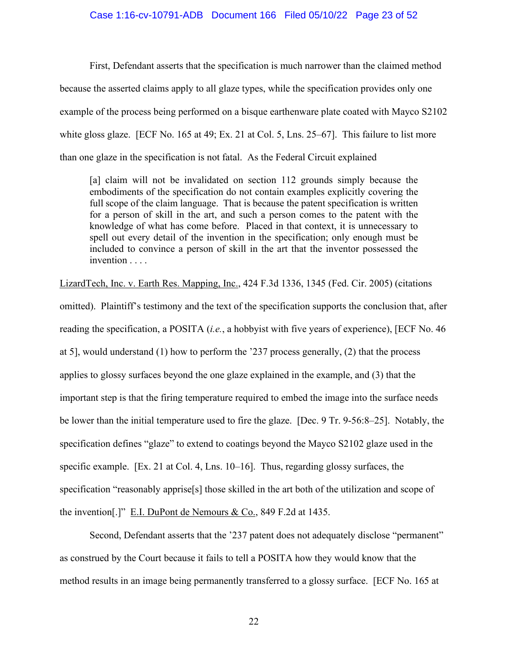#### Case 1:16-cv-10791-ADB Document 166 Filed 05/10/22 Page 23 of 52

First, Defendant asserts that the specification is much narrower than the claimed method because the asserted claims apply to all glaze types, while the specification provides only one example of the process being performed on a bisque earthenware plate coated with Mayco S2102 white gloss glaze. [ECF No. 165 at 49; Ex. 21 at Col. 5, Lns. 25–67]. This failure to list more than one glaze in the specification is not fatal. As the Federal Circuit explained

[a] claim will not be invalidated on section 112 grounds simply because the embodiments of the specification do not contain examples explicitly covering the full scope of the claim language. That is because the patent specification is written for a person of skill in the art, and such a person comes to the patent with the knowledge of what has come before. Placed in that context, it is unnecessary to spell out every detail of the invention in the specification; only enough must be included to convince a person of skill in the art that the inventor possessed the invention . . . .

LizardTech, Inc. v. Earth Res. Mapping, Inc., 424 F.3d 1336, 1345 (Fed. Cir. 2005) (citations omitted). Plaintiff's testimony and the text of the specification supports the conclusion that, after reading the specification, a POSITA (*i.e.*, a hobbyist with five years of experience), [ECF No. 46 at 5], would understand (1) how to perform the '237 process generally, (2) that the process applies to glossy surfaces beyond the one glaze explained in the example, and (3) that the important step is that the firing temperature required to embed the image into the surface needs be lower than the initial temperature used to fire the glaze. [Dec. 9 Tr. 9-56:8–25]. Notably, the specification defines "glaze" to extend to coatings beyond the Mayco S2102 glaze used in the specific example. [Ex. 21 at Col. 4, Lns. 10–16]. Thus, regarding glossy surfaces, the specification "reasonably apprise[s] those skilled in the art both of the utilization and scope of the invention[.]" E.I. DuPont de Nemours & Co., 849 F.2d at 1435.

Second, Defendant asserts that the '237 patent does not adequately disclose "permanent" as construed by the Court because it fails to tell a POSITA how they would know that the method results in an image being permanently transferred to a glossy surface. [ECF No. 165 at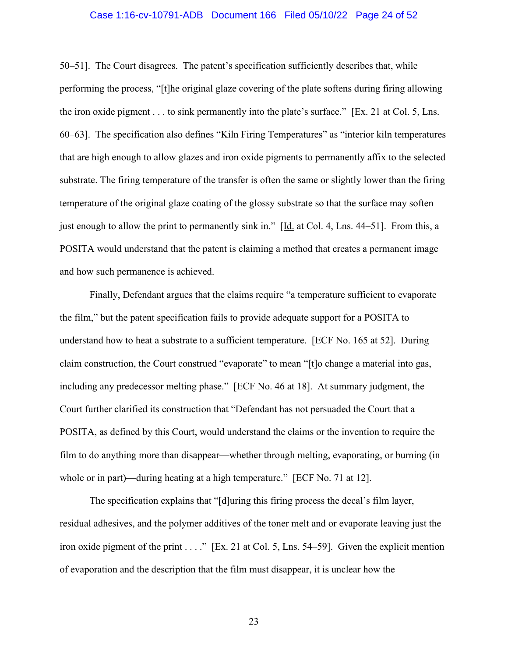#### Case 1:16-cv-10791-ADB Document 166 Filed 05/10/22 Page 24 of 52

50–51]. The Court disagrees. The patent's specification sufficiently describes that, while performing the process, "[t]he original glaze covering of the plate softens during firing allowing the iron oxide pigment . . . to sink permanently into the plate's surface." [Ex. 21 at Col. 5, Lns. 60–63]. The specification also defines "Kiln Firing Temperatures" as "interior kiln temperatures that are high enough to allow glazes and iron oxide pigments to permanently affix to the selected substrate. The firing temperature of the transfer is often the same or slightly lower than the firing temperature of the original glaze coating of the glossy substrate so that the surface may soften just enough to allow the print to permanently sink in." [Id. at Col. 4, Lns. 44–51]. From this, a POSITA would understand that the patent is claiming a method that creates a permanent image and how such permanence is achieved.

Finally, Defendant argues that the claims require "a temperature sufficient to evaporate the film," but the patent specification fails to provide adequate support for a POSITA to understand how to heat a substrate to a sufficient temperature. [ECF No. 165 at 52]. During claim construction, the Court construed "evaporate" to mean "[t]o change a material into gas, including any predecessor melting phase." [ECF No. 46 at 18]. At summary judgment, the Court further clarified its construction that "Defendant has not persuaded the Court that a POSITA, as defined by this Court, would understand the claims or the invention to require the film to do anything more than disappear—whether through melting, evaporating, or burning (in whole or in part)—during heating at a high temperature." [ECF No. 71 at 12].

The specification explains that "[d]uring this firing process the decal's film layer, residual adhesives, and the polymer additives of the toner melt and or evaporate leaving just the iron oxide pigment of the print . . . ." [Ex. 21 at Col. 5, Lns. 54–59]. Given the explicit mention of evaporation and the description that the film must disappear, it is unclear how the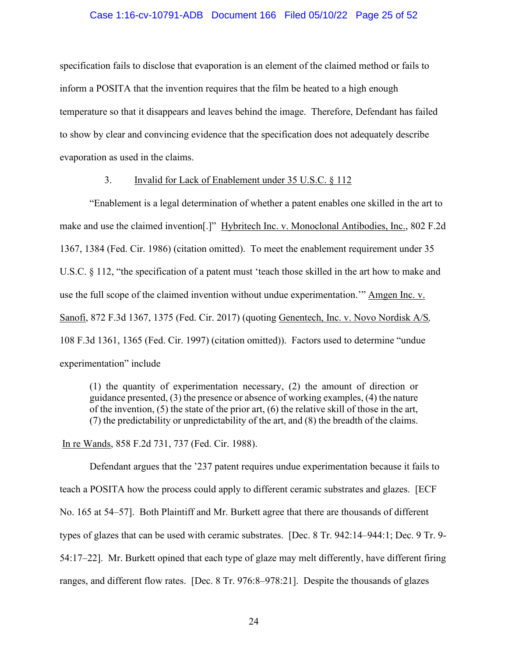#### Case 1:16-cv-10791-ADB Document 166 Filed 05/10/22 Page 25 of 52

specification fails to disclose that evaporation is an element of the claimed method or fails to inform a POSITA that the invention requires that the film be heated to a high enough temperature so that it disappears and leaves behind the image. Therefore, Defendant has failed to show by clear and convincing evidence that the specification does not adequately describe evaporation as used in the claims.

### 3. Invalid for Lack of Enablement under 35 U.S.C. § 112

"Enablement is a legal determination of whether a patent enables one skilled in the art to make and use the claimed invention[.]" Hybritech Inc. v. Monoclonal Antibodies, Inc., 802 F.2d 1367, 1384 (Fed. Cir. 1986) (citation omitted). To meet the enablement requirement under 35 U.S.C. § 112, "the specification of a patent must 'teach those skilled in the art how to make and use the full scope of the claimed invention without undue experimentation.'" Amgen Inc. v. Sanofi, 872 F.3d 1367, 1375 (Fed. Cir. 2017) (quoting Genentech, Inc. v. Novo Nordisk A/S*,* 108 F.3d 1361, 1365 (Fed. Cir. 1997) (citation omitted)). Factors used to determine "undue experimentation" include

(1) the quantity of experimentation necessary, (2) the amount of direction or guidance presented, (3) the presence or absence of working examples, (4) the nature of the invention, (5) the state of the prior art, (6) the relative skill of those in the art, (7) the predictability or unpredictability of the art, and (8) the breadth of the claims.

In re Wands, 858 F.2d 731, 737 (Fed. Cir. 1988).

Defendant argues that the '237 patent requires undue experimentation because it fails to teach a POSITA how the process could apply to different ceramic substrates and glazes. [ECF No. 165 at 54–57]. Both Plaintiff and Mr. Burkett agree that there are thousands of different types of glazes that can be used with ceramic substrates. [Dec. 8 Tr. 942:14–944:1; Dec. 9 Tr. 9- 54:17–22]. Mr. Burkett opined that each type of glaze may melt differently, have different firing ranges, and different flow rates. [Dec. 8 Tr. 976:8–978:21]. Despite the thousands of glazes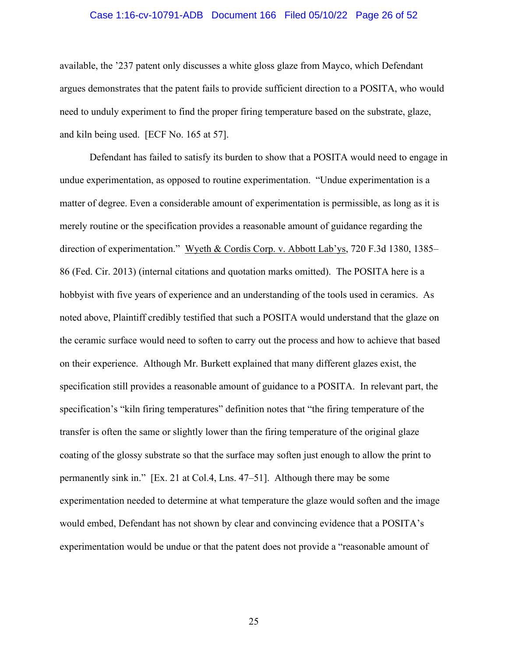#### Case 1:16-cv-10791-ADB Document 166 Filed 05/10/22 Page 26 of 52

available, the '237 patent only discusses a white gloss glaze from Mayco, which Defendant argues demonstrates that the patent fails to provide sufficient direction to a POSITA, who would need to unduly experiment to find the proper firing temperature based on the substrate, glaze, and kiln being used. [ECF No. 165 at 57].

Defendant has failed to satisfy its burden to show that a POSITA would need to engage in undue experimentation, as opposed to routine experimentation. "Undue experimentation is a matter of degree. Even a considerable amount of experimentation is permissible, as long as it is merely routine or the specification provides a reasonable amount of guidance regarding the direction of experimentation." Wyeth & Cordis Corp. v. Abbott Lab'ys, 720 F.3d 1380, 1385– 86 (Fed. Cir. 2013) (internal citations and quotation marks omitted). The POSITA here is a hobbyist with five years of experience and an understanding of the tools used in ceramics. As noted above, Plaintiff credibly testified that such a POSITA would understand that the glaze on the ceramic surface would need to soften to carry out the process and how to achieve that based on their experience. Although Mr. Burkett explained that many different glazes exist, the specification still provides a reasonable amount of guidance to a POSITA. In relevant part, the specification's "kiln firing temperatures" definition notes that "the firing temperature of the transfer is often the same or slightly lower than the firing temperature of the original glaze coating of the glossy substrate so that the surface may soften just enough to allow the print to permanently sink in." [Ex. 21 at Col.4, Lns. 47–51]. Although there may be some experimentation needed to determine at what temperature the glaze would soften and the image would embed, Defendant has not shown by clear and convincing evidence that a POSITA's experimentation would be undue or that the patent does not provide a "reasonable amount of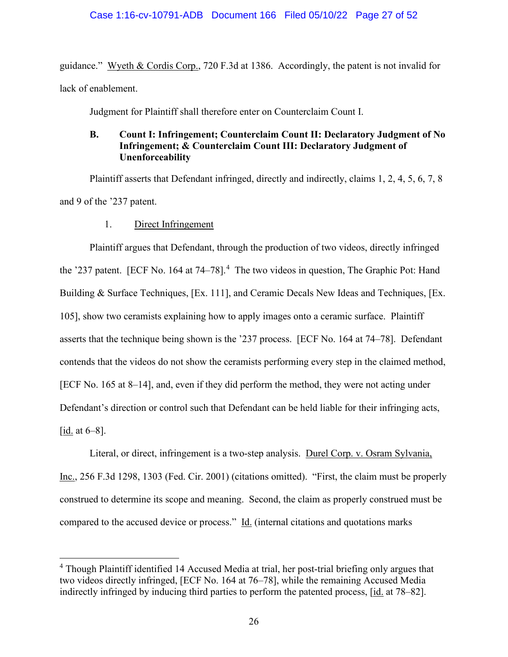guidance." Wyeth & Cordis Corp., 720 F.3d at 1386. Accordingly, the patent is not invalid for lack of enablement.

Judgment for Plaintiff shall therefore enter on Counterclaim Count I.

## **B. Count I: Infringement; Counterclaim Count II: Declaratory Judgment of No Infringement; & Counterclaim Count III: Declaratory Judgment of Unenforceability**

Plaintiff asserts that Defendant infringed, directly and indirectly, claims 1, 2, 4, 5, 6, 7, 8 and 9 of the '237 patent.

### 1. Direct Infringement

Plaintiff argues that Defendant, through the production of two videos, directly infringed the '237 patent. [ECF No. 164 at 74–78].<sup>4</sup> The two videos in question, The Graphic Pot: Hand Building & Surface Techniques, [Ex. 111], and Ceramic Decals New Ideas and Techniques, [Ex. 105], show two ceramists explaining how to apply images onto a ceramic surface. Plaintiff asserts that the technique being shown is the '237 process. [ECF No. 164 at 74–78]. Defendant contends that the videos do not show the ceramists performing every step in the claimed method, [ECF No. 165 at 8–14], and, even if they did perform the method, they were not acting under Defendant's direction or control such that Defendant can be held liable for their infringing acts, [id. at 6–8].

Literal, or direct, infringement is a two-step analysis. Durel Corp. v. Osram Sylvania, Inc., 256 F.3d 1298, 1303 (Fed. Cir. 2001) (citations omitted). "First, the claim must be properly construed to determine its scope and meaning. Second, the claim as properly construed must be compared to the accused device or process." Id. (internal citations and quotations marks

<sup>&</sup>lt;sup>4</sup> Though Plaintiff identified 14 Accused Media at trial, her post-trial briefing only argues that two videos directly infringed, [ECF No. 164 at 76–78], while the remaining Accused Media indirectly infringed by inducing third parties to perform the patented process, [id. at 78–82].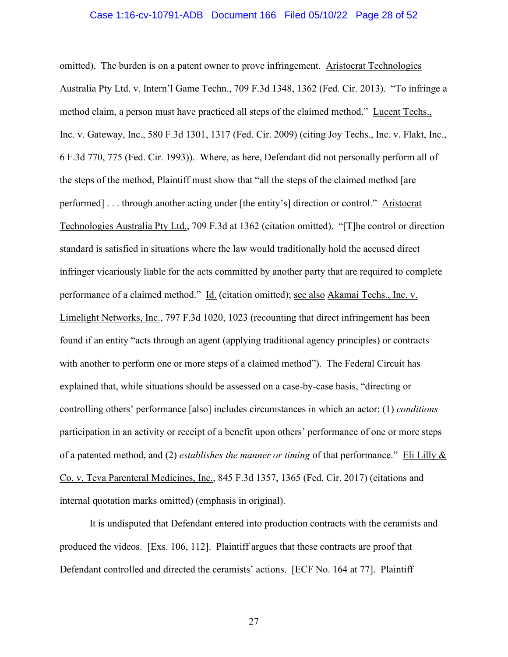#### Case 1:16-cv-10791-ADB Document 166 Filed 05/10/22 Page 28 of 52

omitted). The burden is on a patent owner to prove infringement. Aristocrat Technologies Australia Pty Ltd. v. Intern'l Game Techn., 709 F.3d 1348, 1362 (Fed. Cir. 2013). "To infringe a method claim, a person must have practiced all steps of the claimed method." Lucent Techs., Inc. v. Gateway, Inc., 580 F.3d 1301, 1317 (Fed. Cir. 2009) (citing Joy Techs., Inc. v. Flakt, Inc., 6 F.3d 770, 775 (Fed. Cir. 1993)). Where, as here, Defendant did not personally perform all of the steps of the method, Plaintiff must show that "all the steps of the claimed method [are performed] . . . through another acting under [the entity's] direction or control." Aristocrat Technologies Australia Pty Ltd., 709 F.3d at 1362 (citation omitted). "[T]he control or direction standard is satisfied in situations where the law would traditionally hold the accused direct infringer vicariously liable for the acts committed by another party that are required to complete performance of a claimed method." Id. (citation omitted); see also Akamai Techs., Inc. v. Limelight Networks, Inc., 797 F.3d 1020, 1023 (recounting that direct infringement has been found if an entity "acts through an agent (applying traditional agency principles) or contracts with another to perform one or more steps of a claimed method"). The Federal Circuit has explained that, while situations should be assessed on a case-by-case basis, "directing or controlling others' performance [also] includes circumstances in which an actor: (1) *conditions* participation in an activity or receipt of a benefit upon others' performance of one or more steps of a patented method, and (2) *establishes the manner or timing* of that performance." Eli Lilly & Co. v. Teva Parenteral Medicines, Inc., 845 F.3d 1357, 1365 (Fed. Cir. 2017) (citations and internal quotation marks omitted) (emphasis in original).

It is undisputed that Defendant entered into production contracts with the ceramists and produced the videos. [Exs. 106, 112]. Plaintiff argues that these contracts are proof that Defendant controlled and directed the ceramists' actions. [ECF No. 164 at 77]. Plaintiff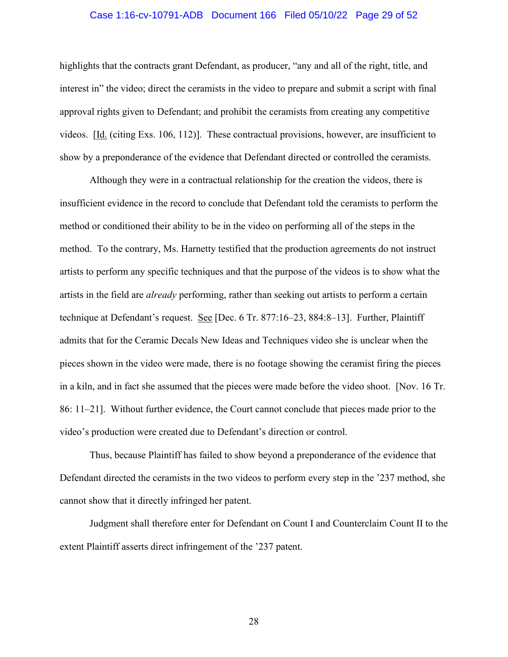#### Case 1:16-cv-10791-ADB Document 166 Filed 05/10/22 Page 29 of 52

highlights that the contracts grant Defendant, as producer, "any and all of the right, title, and interest in" the video; direct the ceramists in the video to prepare and submit a script with final approval rights given to Defendant; and prohibit the ceramists from creating any competitive videos. [Id. (citing Exs. 106, 112)]. These contractual provisions, however, are insufficient to show by a preponderance of the evidence that Defendant directed or controlled the ceramists.

Although they were in a contractual relationship for the creation the videos, there is insufficient evidence in the record to conclude that Defendant told the ceramists to perform the method or conditioned their ability to be in the video on performing all of the steps in the method. To the contrary, Ms. Harnetty testified that the production agreements do not instruct artists to perform any specific techniques and that the purpose of the videos is to show what the artists in the field are *already* performing, rather than seeking out artists to perform a certain technique at Defendant's request. See [Dec. 6 Tr. 877:16–23, 884:8–13]. Further, Plaintiff admits that for the Ceramic Decals New Ideas and Techniques video she is unclear when the pieces shown in the video were made, there is no footage showing the ceramist firing the pieces in a kiln, and in fact she assumed that the pieces were made before the video shoot. [Nov. 16 Tr. 86: 11–21]. Without further evidence, the Court cannot conclude that pieces made prior to the video's production were created due to Defendant's direction or control.

Thus, because Plaintiff has failed to show beyond a preponderance of the evidence that Defendant directed the ceramists in the two videos to perform every step in the '237 method, she cannot show that it directly infringed her patent.

Judgment shall therefore enter for Defendant on Count I and Counterclaim Count II to the extent Plaintiff asserts direct infringement of the '237 patent.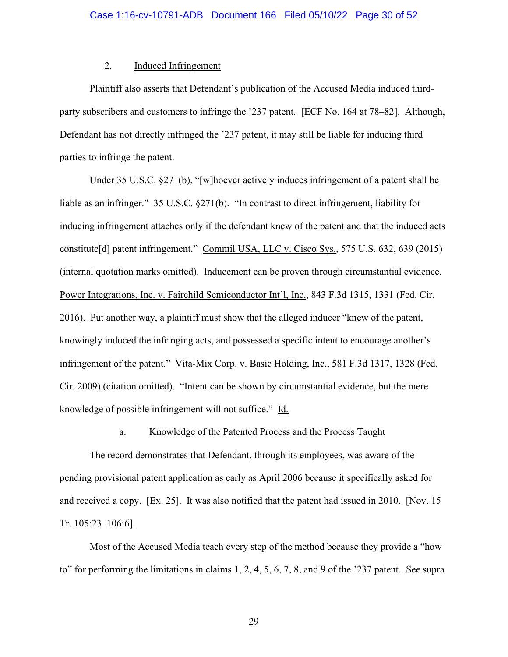### 2. Induced Infringement

Plaintiff also asserts that Defendant's publication of the Accused Media induced thirdparty subscribers and customers to infringe the '237 patent. [ECF No. 164 at 78–82]. Although, Defendant has not directly infringed the '237 patent, it may still be liable for inducing third parties to infringe the patent.

Under 35 U.S.C. §271(b), "[w]hoever actively induces infringement of a patent shall be liable as an infringer." 35 U.S.C. §271(b). "In contrast to direct infringement, liability for inducing infringement attaches only if the defendant knew of the patent and that the induced acts constitute[d] patent infringement." Commil USA, LLC v. Cisco Sys., 575 U.S. 632, 639 (2015) (internal quotation marks omitted). Inducement can be proven through circumstantial evidence. Power Integrations, Inc. v. Fairchild Semiconductor Int'l, Inc., 843 F.3d 1315, 1331 (Fed. Cir. 2016). Put another way, a plaintiff must show that the alleged inducer "knew of the patent, knowingly induced the infringing acts, and possessed a specific intent to encourage another's infringement of the patent." Vita-Mix Corp. v. Basic Holding, Inc., 581 F.3d 1317, 1328 (Fed. Cir. 2009) (citation omitted). "Intent can be shown by circumstantial evidence, but the mere knowledge of possible infringement will not suffice." Id.

a. Knowledge of the Patented Process and the Process Taught

The record demonstrates that Defendant, through its employees, was aware of the pending provisional patent application as early as April 2006 because it specifically asked for and received a copy. [Ex. 25]. It was also notified that the patent had issued in 2010. [Nov. 15 Tr. 105:23–106:6].

Most of the Accused Media teach every step of the method because they provide a "how to" for performing the limitations in claims 1, 2, 4, 5, 6, 7, 8, and 9 of the '237 patent. See supra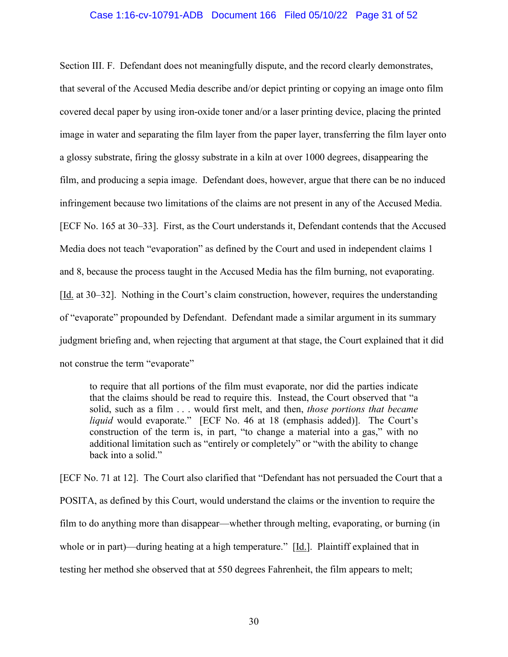#### Case 1:16-cv-10791-ADB Document 166 Filed 05/10/22 Page 31 of 52

Section III. F. Defendant does not meaningfully dispute, and the record clearly demonstrates, that several of the Accused Media describe and/or depict printing or copying an image onto film covered decal paper by using iron-oxide toner and/or a laser printing device, placing the printed image in water and separating the film layer from the paper layer, transferring the film layer onto a glossy substrate, firing the glossy substrate in a kiln at over 1000 degrees, disappearing the film, and producing a sepia image. Defendant does, however, argue that there can be no induced infringement because two limitations of the claims are not present in any of the Accused Media. [ECF No. 165 at 30–33]. First, as the Court understands it, Defendant contends that the Accused Media does not teach "evaporation" as defined by the Court and used in independent claims 1 and 8, because the process taught in the Accused Media has the film burning, not evaporating. [Id. at 30–32]. Nothing in the Court's claim construction, however, requires the understanding of "evaporate" propounded by Defendant. Defendant made a similar argument in its summary judgment briefing and, when rejecting that argument at that stage, the Court explained that it did not construe the term "evaporate"

to require that all portions of the film must evaporate, nor did the parties indicate that the claims should be read to require this. Instead, the Court observed that "a solid, such as a film . . . would first melt, and then, *those portions that became liquid* would evaporate." [ECF No. 46 at 18 (emphasis added)]. The Court's construction of the term is, in part, "to change a material into a gas," with no additional limitation such as "entirely or completely" or "with the ability to change back into a solid."

[ECF No. 71 at 12]. The Court also clarified that "Defendant has not persuaded the Court that a POSITA, as defined by this Court, would understand the claims or the invention to require the film to do anything more than disappear—whether through melting, evaporating, or burning (in whole or in part)—during heating at a high temperature."  $[\underline{Id}]$ . Plaintiff explained that in testing her method she observed that at 550 degrees Fahrenheit, the film appears to melt;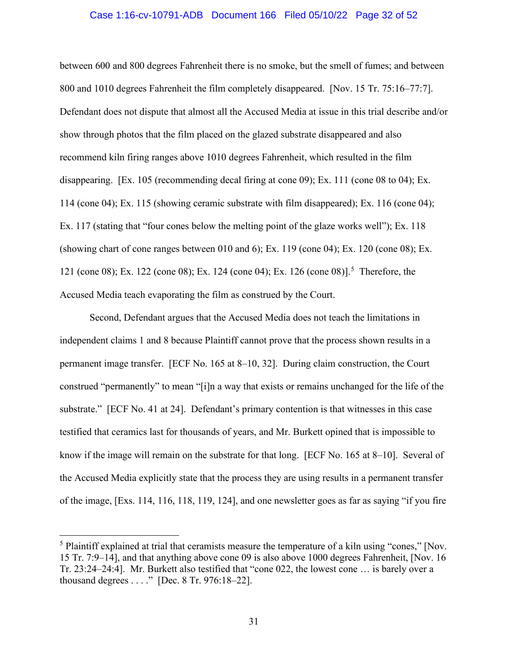#### Case 1:16-cv-10791-ADB Document 166 Filed 05/10/22 Page 32 of 52

between 600 and 800 degrees Fahrenheit there is no smoke, but the smell of fumes; and between 800 and 1010 degrees Fahrenheit the film completely disappeared. [Nov. 15 Tr. 75:16–77:7]. Defendant does not dispute that almost all the Accused Media at issue in this trial describe and/or show through photos that the film placed on the glazed substrate disappeared and also recommend kiln firing ranges above 1010 degrees Fahrenheit, which resulted in the film disappearing. [Ex. 105 (recommending decal firing at cone 09); Ex. 111 (cone 08 to 04); Ex. 114 (cone 04); Ex. 115 (showing ceramic substrate with film disappeared); Ex. 116 (cone 04); Ex. 117 (stating that "four cones below the melting point of the glaze works well"); Ex. 118 (showing chart of cone ranges between 010 and 6); Ex. 119 (cone 04); Ex. 120 (cone 08); Ex. 121 (cone 08); Ex. 122 (cone 08); Ex. 124 (cone 04); Ex. 126 (cone 08)].<sup>5</sup> Therefore, the Accused Media teach evaporating the film as construed by the Court.

 Second, Defendant argues that the Accused Media does not teach the limitations in independent claims 1 and 8 because Plaintiff cannot prove that the process shown results in a permanent image transfer. [ECF No. 165 at 8–10, 32]. During claim construction, the Court construed "permanently" to mean "[i]n a way that exists or remains unchanged for the life of the substrate." [ECF No. 41 at 24]. Defendant's primary contention is that witnesses in this case testified that ceramics last for thousands of years, and Mr. Burkett opined that is impossible to know if the image will remain on the substrate for that long. [ECF No. 165 at 8–10]. Several of the Accused Media explicitly state that the process they are using results in a permanent transfer of the image, [Exs. 114, 116, 118, 119, 124], and one newsletter goes as far as saying "if you fire

<sup>5</sup> Plaintiff explained at trial that ceramists measure the temperature of a kiln using "cones," [Nov. 15 Tr. 7:9–14], and that anything above cone 09 is also above 1000 degrees Fahrenheit, [Nov. 16 Tr. 23:24–24:4]. Mr. Burkett also testified that "cone 022, the lowest cone … is barely over a thousand degrees . . . ." [Dec. 8 Tr. 976:18–22].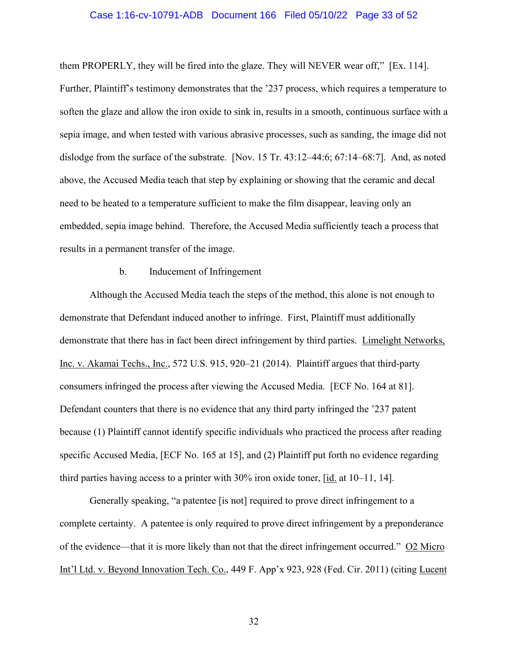#### Case 1:16-cv-10791-ADB Document 166 Filed 05/10/22 Page 33 of 52

them PROPERLY, they will be fired into the glaze. They will NEVER wear off," [Ex. 114]. Further, Plaintiff's testimony demonstrates that the '237 process, which requires a temperature to soften the glaze and allow the iron oxide to sink in, results in a smooth, continuous surface with a sepia image, and when tested with various abrasive processes, such as sanding, the image did not dislodge from the surface of the substrate. [Nov. 15 Tr. 43:12–44:6; 67:14–68:7]. And, as noted above, the Accused Media teach that step by explaining or showing that the ceramic and decal need to be heated to a temperature sufficient to make the film disappear, leaving only an embedded, sepia image behind. Therefore, the Accused Media sufficiently teach a process that results in a permanent transfer of the image.

### b. Inducement of Infringement

Although the Accused Media teach the steps of the method, this alone is not enough to demonstrate that Defendant induced another to infringe. First, Plaintiff must additionally demonstrate that there has in fact been direct infringement by third parties. Limelight Networks, Inc. v. Akamai Techs., Inc., 572 U.S. 915, 920–21 (2014). Plaintiff argues that third-party consumers infringed the process after viewing the Accused Media. [ECF No. 164 at 81]. Defendant counters that there is no evidence that any third party infringed the '237 patent because (1) Plaintiff cannot identify specific individuals who practiced the process after reading specific Accused Media, [ECF No. 165 at 15], and (2) Plaintiff put forth no evidence regarding third parties having access to a printer with 30% iron oxide toner, [id. at 10–11, 14].

Generally speaking, "a patentee [is not] required to prove direct infringement to a complete certainty. A patentee is only required to prove direct infringement by a preponderance of the evidence—that it is more likely than not that the direct infringement occurred." O2 Micro Int'l Ltd. v. Beyond Innovation Tech. Co., 449 F. App'x 923, 928 (Fed. Cir. 2011) (citing Lucent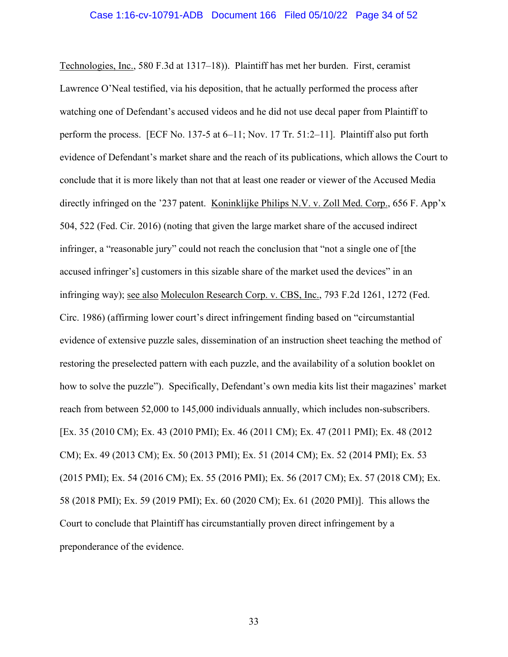Technologies, Inc., 580 F.3d at 1317–18)). Plaintiff has met her burden. First, ceramist Lawrence O'Neal testified, via his deposition, that he actually performed the process after watching one of Defendant's accused videos and he did not use decal paper from Plaintiff to perform the process. [ECF No. 137-5 at 6–11; Nov. 17 Tr. 51:2–11]. Plaintiff also put forth evidence of Defendant's market share and the reach of its publications, which allows the Court to conclude that it is more likely than not that at least one reader or viewer of the Accused Media directly infringed on the '237 patent. Koninklijke Philips N.V. v. Zoll Med. Corp., 656 F. App'x 504, 522 (Fed. Cir. 2016) (noting that given the large market share of the accused indirect infringer, a "reasonable jury" could not reach the conclusion that "not a single one of [the accused infringer's] customers in this sizable share of the market used the devices" in an infringing way); see also Moleculon Research Corp. v. CBS, Inc., 793 F.2d 1261, 1272 (Fed. Circ. 1986) (affirming lower court's direct infringement finding based on "circumstantial evidence of extensive puzzle sales, dissemination of an instruction sheet teaching the method of restoring the preselected pattern with each puzzle, and the availability of a solution booklet on how to solve the puzzle"). Specifically, Defendant's own media kits list their magazines' market reach from between 52,000 to 145,000 individuals annually, which includes non-subscribers. [Ex. 35 (2010 CM); Ex. 43 (2010 PMI); Ex. 46 (2011 CM); Ex. 47 (2011 PMI); Ex. 48 (2012 CM); Ex. 49 (2013 CM); Ex. 50 (2013 PMI); Ex. 51 (2014 CM); Ex. 52 (2014 PMI); Ex. 53 (2015 PMI); Ex. 54 (2016 CM); Ex. 55 (2016 PMI); Ex. 56 (2017 CM); Ex. 57 (2018 CM); Ex. 58 (2018 PMI); Ex. 59 (2019 PMI); Ex. 60 (2020 CM); Ex. 61 (2020 PMI)]. This allows the Court to conclude that Plaintiff has circumstantially proven direct infringement by a preponderance of the evidence.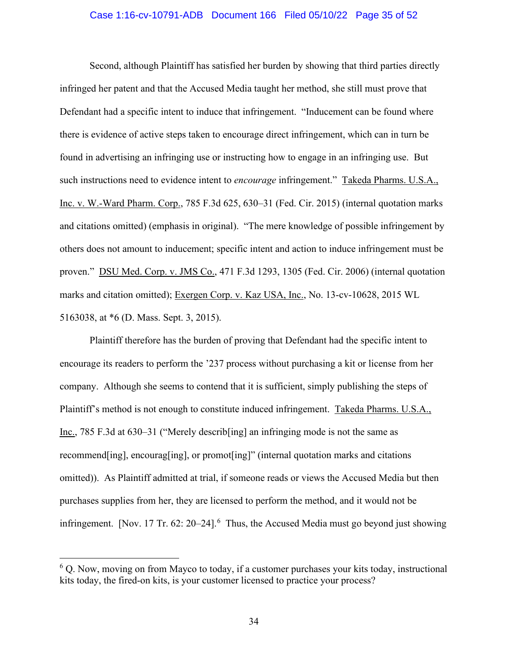#### Case 1:16-cv-10791-ADB Document 166 Filed 05/10/22 Page 35 of 52

Second, although Plaintiff has satisfied her burden by showing that third parties directly infringed her patent and that the Accused Media taught her method, she still must prove that Defendant had a specific intent to induce that infringement. "Inducement can be found where there is evidence of active steps taken to encourage direct infringement, which can in turn be found in advertising an infringing use or instructing how to engage in an infringing use. But such instructions need to evidence intent to *encourage* infringement." Takeda Pharms. U.S.A., Inc. v. W.-Ward Pharm. Corp., 785 F.3d 625, 630–31 (Fed. Cir. 2015) (internal quotation marks and citations omitted) (emphasis in original). "The mere knowledge of possible infringement by others does not amount to inducement; specific intent and action to induce infringement must be proven." DSU Med. Corp. v. JMS Co., 471 F.3d 1293, 1305 (Fed. Cir. 2006) (internal quotation marks and citation omitted); Exergen Corp. v. Kaz USA, Inc., No. 13-cv-10628, 2015 WL 5163038, at \*6 (D. Mass. Sept. 3, 2015).

Plaintiff therefore has the burden of proving that Defendant had the specific intent to encourage its readers to perform the '237 process without purchasing a kit or license from her company. Although she seems to contend that it is sufficient, simply publishing the steps of Plaintiff's method is not enough to constitute induced infringement. Takeda Pharms. U.S.A., Inc., 785 F.3d at 630–31 ("Merely describ[ing] an infringing mode is not the same as recommend[ing], encourag[ing], or promot[ing]" (internal quotation marks and citations omitted)). As Plaintiff admitted at trial, if someone reads or views the Accused Media but then purchases supplies from her, they are licensed to perform the method, and it would not be infringement. [Nov. 17 Tr. 62: 20–24]. $<sup>6</sup>$  Thus, the Accused Media must go beyond just showing</sup>

<sup>&</sup>lt;sup>6</sup> Q. Now, moving on from Mayco to today, if a customer purchases your kits today, instructional kits today, the fired-on kits, is your customer licensed to practice your process?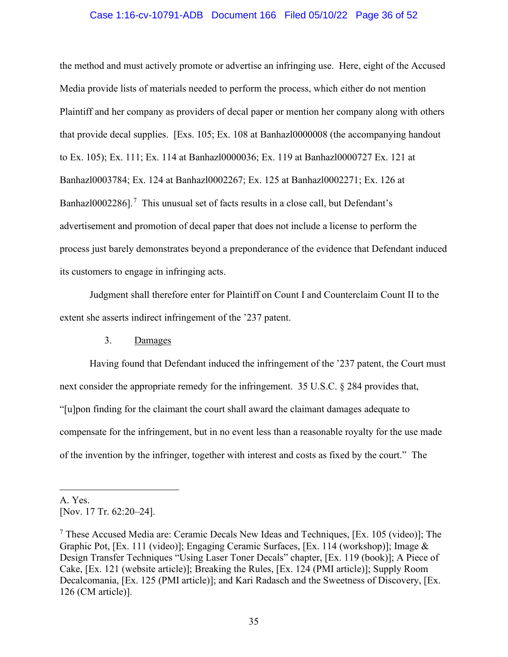#### Case 1:16-cv-10791-ADB Document 166 Filed 05/10/22 Page 36 of 52

the method and must actively promote or advertise an infringing use. Here, eight of the Accused Media provide lists of materials needed to perform the process, which either do not mention Plaintiff and her company as providers of decal paper or mention her company along with others that provide decal supplies. [Exs. 105; Ex. 108 at Banhazl0000008 (the accompanying handout to Ex. 105); Ex. 111; Ex. 114 at Banhazl0000036; Ex. 119 at Banhazl0000727 Ex. 121 at Banhazl0003784; Ex. 124 at Banhazl0002267; Ex. 125 at Banhazl0002271; Ex. 126 at Banhaz $10002286$ ].<sup>7</sup> This unusual set of facts results in a close call, but Defendant's advertisement and promotion of decal paper that does not include a license to perform the process just barely demonstrates beyond a preponderance of the evidence that Defendant induced its customers to engage in infringing acts.

Judgment shall therefore enter for Plaintiff on Count I and Counterclaim Count II to the extent she asserts indirect infringement of the '237 patent.

#### 3. Damages

Having found that Defendant induced the infringement of the '237 patent, the Court must next consider the appropriate remedy for the infringement. 35 U.S.C. § 284 provides that, "[u]pon finding for the claimant the court shall award the claimant damages adequate to compensate for the infringement, but in no event less than a reasonable royalty for the use made of the invention by the infringer, together with interest and costs as fixed by the court." The

A. Yes. [Nov. 17 Tr. 62:20-24].

<sup>&</sup>lt;sup>7</sup> These Accused Media are: Ceramic Decals New Ideas and Techniques, [Ex. 105 (video)]; The Graphic Pot, [Ex. 111 (video)]; Engaging Ceramic Surfaces, [Ex. 114 (workshop)]; Image & Design Transfer Techniques "Using Laser Toner Decals" chapter, [Ex. 119 (book)]; A Piece of Cake, [Ex. 121 (website article)]; Breaking the Rules, [Ex. 124 (PMI article)]; Supply Room Decalcomania, [Ex. 125 (PMI article)]; and Kari Radasch and the Sweetness of Discovery, [Ex. 126 (CM article)].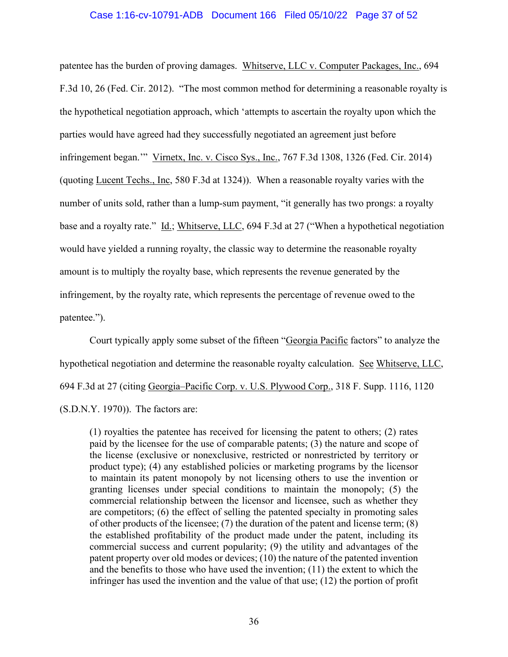#### Case 1:16-cv-10791-ADB Document 166 Filed 05/10/22 Page 37 of 52

patentee has the burden of proving damages. Whitserve, LLC v. Computer Packages, Inc., 694 F.3d 10, 26 (Fed. Cir. 2012). "The most common method for determining a reasonable royalty is the hypothetical negotiation approach, which 'attempts to ascertain the royalty upon which the parties would have agreed had they successfully negotiated an agreement just before infringement began.'" Virnetx, Inc. v. Cisco Sys., Inc., 767 F.3d 1308, 1326 (Fed. Cir. 2014) (quoting Lucent Techs., Inc, 580 F.3d at 1324)). When a reasonable royalty varies with the number of units sold, rather than a lump-sum payment, "it generally has two prongs: a royalty base and a royalty rate." Id.; Whitserve, LLC, 694 F.3d at 27 ("When a hypothetical negotiation would have yielded a running royalty, the classic way to determine the reasonable royalty amount is to multiply the royalty base, which represents the revenue generated by the infringement, by the royalty rate, which represents the percentage of revenue owed to the patentee.").

Court typically apply some subset of the fifteen "Georgia Pacific factors" to analyze the hypothetical negotiation and determine the reasonable royalty calculation. See Whitserve, LLC, 694 F.3d at 27 (citing Georgia–Pacific Corp. v. U.S. Plywood Corp., 318 F. Supp. 1116, 1120 (S.D.N.Y. 1970)). The factors are:

(1) royalties the patentee has received for licensing the patent to others; (2) rates paid by the licensee for the use of comparable patents; (3) the nature and scope of the license (exclusive or nonexclusive, restricted or nonrestricted by territory or product type); (4) any established policies or marketing programs by the licensor to maintain its patent monopoly by not licensing others to use the invention or granting licenses under special conditions to maintain the monopoly; (5) the commercial relationship between the licensor and licensee, such as whether they are competitors; (6) the effect of selling the patented specialty in promoting sales of other products of the licensee; (7) the duration of the patent and license term; (8) the established profitability of the product made under the patent, including its commercial success and current popularity; (9) the utility and advantages of the patent property over old modes or devices; (10) the nature of the patented invention and the benefits to those who have used the invention; (11) the extent to which the infringer has used the invention and the value of that use; (12) the portion of profit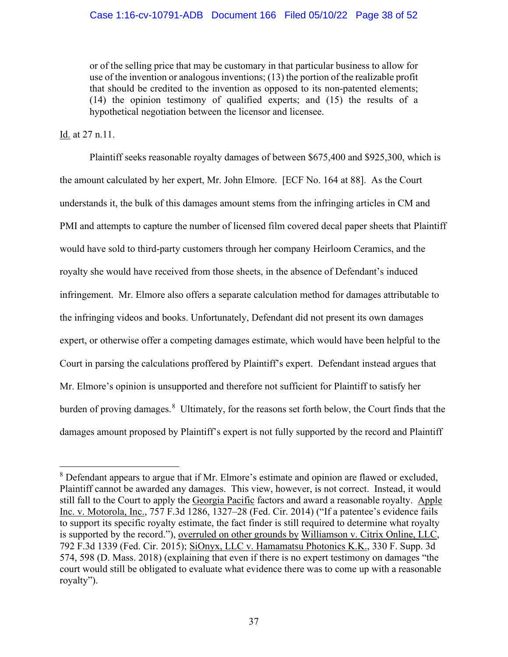or of the selling price that may be customary in that particular business to allow for use of the invention or analogous inventions; (13) the portion of the realizable profit that should be credited to the invention as opposed to its non-patented elements; (14) the opinion testimony of qualified experts; and (15) the results of a hypothetical negotiation between the licensor and licensee.

### Id. at 27 n.11.

Plaintiff seeks reasonable royalty damages of between \$675,400 and \$925,300, which is the amount calculated by her expert, Mr. John Elmore. [ECF No. 164 at 88]. As the Court understands it, the bulk of this damages amount stems from the infringing articles in CM and PMI and attempts to capture the number of licensed film covered decal paper sheets that Plaintiff would have sold to third-party customers through her company Heirloom Ceramics, and the royalty she would have received from those sheets, in the absence of Defendant's induced infringement. Mr. Elmore also offers a separate calculation method for damages attributable to the infringing videos and books. Unfortunately, Defendant did not present its own damages expert, or otherwise offer a competing damages estimate, which would have been helpful to the Court in parsing the calculations proffered by Plaintiff's expert. Defendant instead argues that Mr. Elmore's opinion is unsupported and therefore not sufficient for Plaintiff to satisfy her burden of proving damages.<sup>8</sup> Ultimately, for the reasons set forth below, the Court finds that the damages amount proposed by Plaintiff's expert is not fully supported by the record and Plaintiff

<sup>&</sup>lt;sup>8</sup> Defendant appears to argue that if Mr. Elmore's estimate and opinion are flawed or excluded, Plaintiff cannot be awarded any damages. This view, however, is not correct. Instead, it would still fall to the Court to apply the Georgia Pacific factors and award a reasonable royalty. Apple Inc. v. Motorola, Inc., 757 F.3d 1286, 1327–28 (Fed. Cir. 2014) ("If a patentee's evidence fails to support its specific royalty estimate, the fact finder is still required to determine what royalty is supported by the record."), overruled on other grounds by Williamson v. Citrix Online, LLC, 792 F.3d 1339 (Fed. Cir. 2015); SiOnyx, LLC v. Hamamatsu Photonics K.K., 330 F. Supp. 3d 574, 598 (D. Mass. 2018) (explaining that even if there is no expert testimony on damages "the court would still be obligated to evaluate what evidence there was to come up with a reasonable royalty").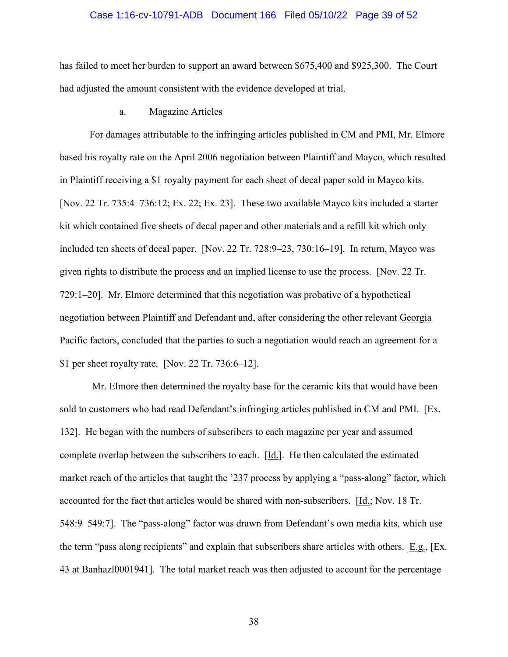#### Case 1:16-cv-10791-ADB Document 166 Filed 05/10/22 Page 39 of 52

has failed to meet her burden to support an award between \$675,400 and \$925,300. The Court had adjusted the amount consistent with the evidence developed at trial.

a. Magazine Articles

For damages attributable to the infringing articles published in CM and PMI, Mr. Elmore based his royalty rate on the April 2006 negotiation between Plaintiff and Mayco, which resulted in Plaintiff receiving a \$1 royalty payment for each sheet of decal paper sold in Mayco kits. [Nov. 22 Tr. 735:4–736:12; Ex. 22; Ex. 23]. These two available Mayco kits included a starter kit which contained five sheets of decal paper and other materials and a refill kit which only included ten sheets of decal paper. [Nov. 22 Tr. 728:9–23, 730:16–19]. In return, Mayco was given rights to distribute the process and an implied license to use the process. [Nov. 22 Tr. 729:1–20]. Mr. Elmore determined that this negotiation was probative of a hypothetical negotiation between Plaintiff and Defendant and, after considering the other relevant Georgia Pacific factors, concluded that the parties to such a negotiation would reach an agreement for a \$1 per sheet royalty rate. [Nov. 22 Tr. 736:6–12].

 Mr. Elmore then determined the royalty base for the ceramic kits that would have been sold to customers who had read Defendant's infringing articles published in CM and PMI. [Ex. 132]. He began with the numbers of subscribers to each magazine per year and assumed complete overlap between the subscribers to each. [Id.]. He then calculated the estimated market reach of the articles that taught the '237 process by applying a "pass-along" factor, which accounted for the fact that articles would be shared with non-subscribers.  $[\underline{Id}]$ ; Nov. 18 Tr. 548:9–549:7]. The "pass-along" factor was drawn from Defendant's own media kits, which use the term "pass along recipients" and explain that subscribers share articles with others. E.g., [Ex. 43 at Banhazl0001941]. The total market reach was then adjusted to account for the percentage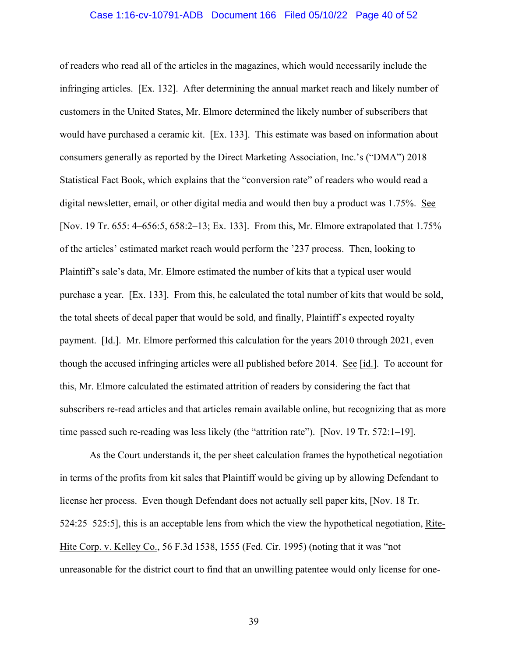#### Case 1:16-cv-10791-ADB Document 166 Filed 05/10/22 Page 40 of 52

of readers who read all of the articles in the magazines, which would necessarily include the infringing articles. [Ex. 132]. After determining the annual market reach and likely number of customers in the United States, Mr. Elmore determined the likely number of subscribers that would have purchased a ceramic kit. [Ex. 133]. This estimate was based on information about consumers generally as reported by the Direct Marketing Association, Inc.'s ("DMA") 2018 Statistical Fact Book, which explains that the "conversion rate" of readers who would read a digital newsletter, email, or other digital media and would then buy a product was 1.75%. See [Nov. 19 Tr. 655: 4–656:5, 658:2–13; Ex. 133]. From this, Mr. Elmore extrapolated that 1.75% of the articles' estimated market reach would perform the '237 process. Then, looking to Plaintiff's sale's data, Mr. Elmore estimated the number of kits that a typical user would purchase a year. [Ex. 133]. From this, he calculated the total number of kits that would be sold, the total sheets of decal paper that would be sold, and finally, Plaintiff's expected royalty payment. [Id.]. Mr. Elmore performed this calculation for the years 2010 through 2021, even though the accused infringing articles were all published before 2014. See [id.]. To account for this, Mr. Elmore calculated the estimated attrition of readers by considering the fact that subscribers re-read articles and that articles remain available online, but recognizing that as more time passed such re-reading was less likely (the "attrition rate"). [Nov. 19 Tr. 572:1–19].

As the Court understands it, the per sheet calculation frames the hypothetical negotiation in terms of the profits from kit sales that Plaintiff would be giving up by allowing Defendant to license her process. Even though Defendant does not actually sell paper kits, [Nov. 18 Tr. 524:25–525:5], this is an acceptable lens from which the view the hypothetical negotiation, Rite-Hite Corp. v. Kelley Co., 56 F.3d 1538, 1555 (Fed. Cir. 1995) (noting that it was "not unreasonable for the district court to find that an unwilling patentee would only license for one-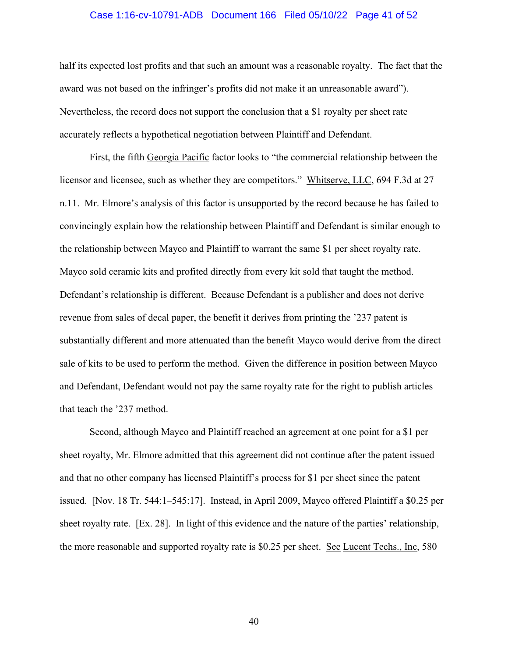#### Case 1:16-cv-10791-ADB Document 166 Filed 05/10/22 Page 41 of 52

half its expected lost profits and that such an amount was a reasonable royalty. The fact that the award was not based on the infringer's profits did not make it an unreasonable award"). Nevertheless, the record does not support the conclusion that a \$1 royalty per sheet rate accurately reflects a hypothetical negotiation between Plaintiff and Defendant.

First, the fifth Georgia Pacific factor looks to "the commercial relationship between the licensor and licensee, such as whether they are competitors." Whitserve, LLC, 694 F.3d at 27 n.11. Mr. Elmore's analysis of this factor is unsupported by the record because he has failed to convincingly explain how the relationship between Plaintiff and Defendant is similar enough to the relationship between Mayco and Plaintiff to warrant the same \$1 per sheet royalty rate. Mayco sold ceramic kits and profited directly from every kit sold that taught the method. Defendant's relationship is different. Because Defendant is a publisher and does not derive revenue from sales of decal paper, the benefit it derives from printing the '237 patent is substantially different and more attenuated than the benefit Mayco would derive from the direct sale of kits to be used to perform the method. Given the difference in position between Mayco and Defendant, Defendant would not pay the same royalty rate for the right to publish articles that teach the '237 method.

Second, although Mayco and Plaintiff reached an agreement at one point for a \$1 per sheet royalty, Mr. Elmore admitted that this agreement did not continue after the patent issued and that no other company has licensed Plaintiff's process for \$1 per sheet since the patent issued. [Nov. 18 Tr. 544:1–545:17]. Instead, in April 2009, Mayco offered Plaintiff a \$0.25 per sheet royalty rate. [Ex. 28]. In light of this evidence and the nature of the parties' relationship, the more reasonable and supported royalty rate is \$0.25 per sheet. See Lucent Techs., Inc, 580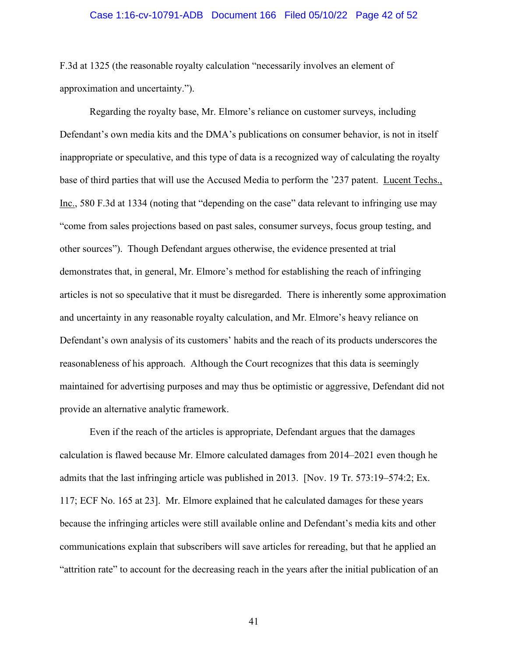#### Case 1:16-cv-10791-ADB Document 166 Filed 05/10/22 Page 42 of 52

F.3d at 1325 (the reasonable royalty calculation "necessarily involves an element of approximation and uncertainty.").

Regarding the royalty base, Mr. Elmore's reliance on customer surveys, including Defendant's own media kits and the DMA's publications on consumer behavior, is not in itself inappropriate or speculative, and this type of data is a recognized way of calculating the royalty base of third parties that will use the Accused Media to perform the '237 patent. Lucent Techs., Inc., 580 F.3d at 1334 (noting that "depending on the case" data relevant to infringing use may "come from sales projections based on past sales, consumer surveys, focus group testing, and other sources"). Though Defendant argues otherwise, the evidence presented at trial demonstrates that, in general, Mr. Elmore's method for establishing the reach of infringing articles is not so speculative that it must be disregarded. There is inherently some approximation and uncertainty in any reasonable royalty calculation, and Mr. Elmore's heavy reliance on Defendant's own analysis of its customers' habits and the reach of its products underscores the reasonableness of his approach. Although the Court recognizes that this data is seemingly maintained for advertising purposes and may thus be optimistic or aggressive, Defendant did not provide an alternative analytic framework.

Even if the reach of the articles is appropriate, Defendant argues that the damages calculation is flawed because Mr. Elmore calculated damages from 2014–2021 even though he admits that the last infringing article was published in 2013. [Nov. 19 Tr. 573:19–574:2; Ex. 117; ECF No. 165 at 23]. Mr. Elmore explained that he calculated damages for these years because the infringing articles were still available online and Defendant's media kits and other communications explain that subscribers will save articles for rereading, but that he applied an "attrition rate" to account for the decreasing reach in the years after the initial publication of an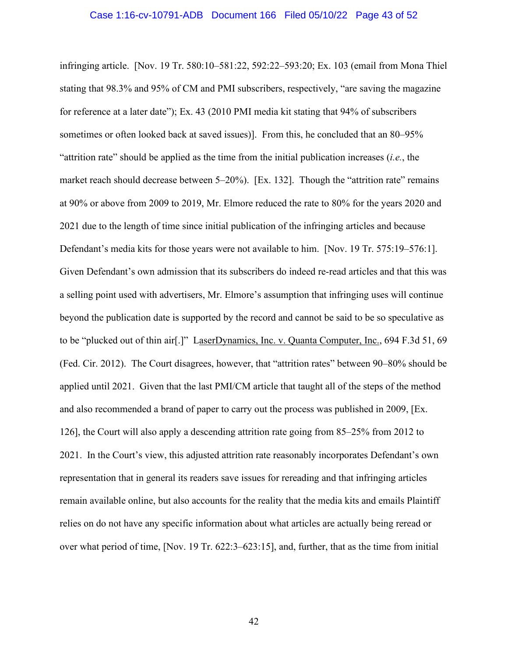infringing article. [Nov. 19 Tr. 580:10–581:22, 592:22–593:20; Ex. 103 (email from Mona Thiel stating that 98.3% and 95% of CM and PMI subscribers, respectively, "are saving the magazine for reference at a later date"); Ex. 43 (2010 PMI media kit stating that 94% of subscribers sometimes or often looked back at saved issues)]. From this, he concluded that an 80–95% "attrition rate" should be applied as the time from the initial publication increases (*i.e.*, the market reach should decrease between 5–20%). [Ex. 132]. Though the "attrition rate" remains at 90% or above from 2009 to 2019, Mr. Elmore reduced the rate to 80% for the years 2020 and 2021 due to the length of time since initial publication of the infringing articles and because Defendant's media kits for those years were not available to him. [Nov. 19 Tr. 575:19–576:1]. Given Defendant's own admission that its subscribers do indeed re-read articles and that this was a selling point used with advertisers, Mr. Elmore's assumption that infringing uses will continue beyond the publication date is supported by the record and cannot be said to be so speculative as to be "plucked out of thin air[.]" LaserDynamics, Inc. v. Quanta Computer, Inc., 694 F.3d 51, 69 (Fed. Cir. 2012). The Court disagrees, however, that "attrition rates" between 90–80% should be applied until 2021. Given that the last PMI/CM article that taught all of the steps of the method and also recommended a brand of paper to carry out the process was published in 2009, [Ex. 126], the Court will also apply a descending attrition rate going from 85–25% from 2012 to 2021. In the Court's view, this adjusted attrition rate reasonably incorporates Defendant's own representation that in general its readers save issues for rereading and that infringing articles remain available online, but also accounts for the reality that the media kits and emails Plaintiff relies on do not have any specific information about what articles are actually being reread or over what period of time, [Nov. 19 Tr. 622:3–623:15], and, further, that as the time from initial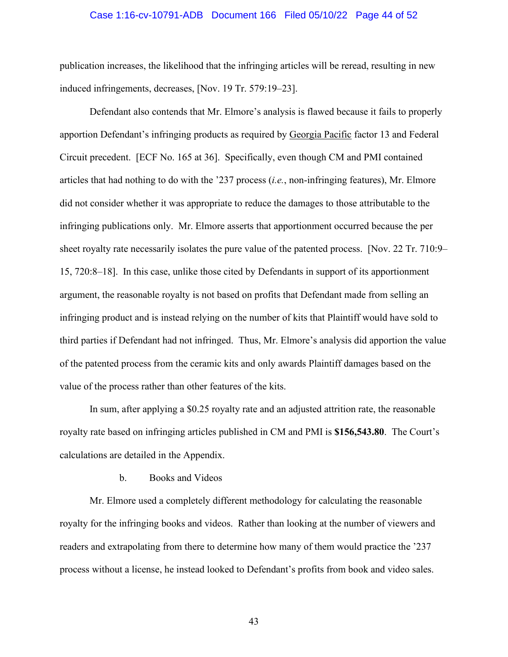#### Case 1:16-cv-10791-ADB Document 166 Filed 05/10/22 Page 44 of 52

publication increases, the likelihood that the infringing articles will be reread, resulting in new induced infringements, decreases, [Nov. 19 Tr. 579:19–23].

Defendant also contends that Mr. Elmore's analysis is flawed because it fails to properly apportion Defendant's infringing products as required by Georgia Pacific factor 13 and Federal Circuit precedent. [ECF No. 165 at 36]. Specifically, even though CM and PMI contained articles that had nothing to do with the '237 process (*i.e.*, non-infringing features), Mr. Elmore did not consider whether it was appropriate to reduce the damages to those attributable to the infringing publications only. Mr. Elmore asserts that apportionment occurred because the per sheet royalty rate necessarily isolates the pure value of the patented process. [Nov. 22 Tr. 710:9– 15, 720:8–18]. In this case, unlike those cited by Defendants in support of its apportionment argument, the reasonable royalty is not based on profits that Defendant made from selling an infringing product and is instead relying on the number of kits that Plaintiff would have sold to third parties if Defendant had not infringed. Thus, Mr. Elmore's analysis did apportion the value of the patented process from the ceramic kits and only awards Plaintiff damages based on the value of the process rather than other features of the kits.

In sum, after applying a \$0.25 royalty rate and an adjusted attrition rate, the reasonable royalty rate based on infringing articles published in CM and PMI is **\$156,543.80**. The Court's calculations are detailed in the Appendix.

#### b. Books and Videos

 Mr. Elmore used a completely different methodology for calculating the reasonable royalty for the infringing books and videos. Rather than looking at the number of viewers and readers and extrapolating from there to determine how many of them would practice the '237 process without a license, he instead looked to Defendant's profits from book and video sales.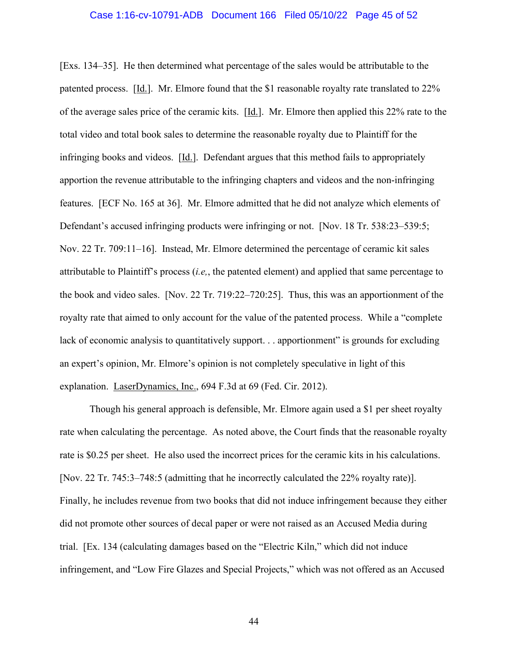[Exs. 134–35]. He then determined what percentage of the sales would be attributable to the patented process. [Id.]. Mr. Elmore found that the \$1 reasonable royalty rate translated to 22% of the average sales price of the ceramic kits. [Id.]. Mr. Elmore then applied this 22% rate to the total video and total book sales to determine the reasonable royalty due to Plaintiff for the infringing books and videos. [Id.]. Defendant argues that this method fails to appropriately apportion the revenue attributable to the infringing chapters and videos and the non-infringing features. [ECF No. 165 at 36]. Mr. Elmore admitted that he did not analyze which elements of Defendant's accused infringing products were infringing or not. [Nov. 18 Tr. 538:23–539:5; Nov. 22 Tr. 709:11–16]. Instead, Mr. Elmore determined the percentage of ceramic kit sales attributable to Plaintiff's process (*i.e,*, the patented element) and applied that same percentage to the book and video sales. [Nov. 22 Tr. 719:22–720:25]. Thus, this was an apportionment of the royalty rate that aimed to only account for the value of the patented process. While a "complete lack of economic analysis to quantitatively support. . . apportionment" is grounds for excluding an expert's opinion, Mr. Elmore's opinion is not completely speculative in light of this explanation. LaserDynamics, Inc., 694 F.3d at 69 (Fed. Cir. 2012).

Though his general approach is defensible, Mr. Elmore again used a \$1 per sheet royalty rate when calculating the percentage. As noted above, the Court finds that the reasonable royalty rate is \$0.25 per sheet. He also used the incorrect prices for the ceramic kits in his calculations. [Nov. 22 Tr. 745:3–748:5 (admitting that he incorrectly calculated the 22% royalty rate)]. Finally, he includes revenue from two books that did not induce infringement because they either did not promote other sources of decal paper or were not raised as an Accused Media during trial. [Ex. 134 (calculating damages based on the "Electric Kiln," which did not induce infringement, and "Low Fire Glazes and Special Projects," which was not offered as an Accused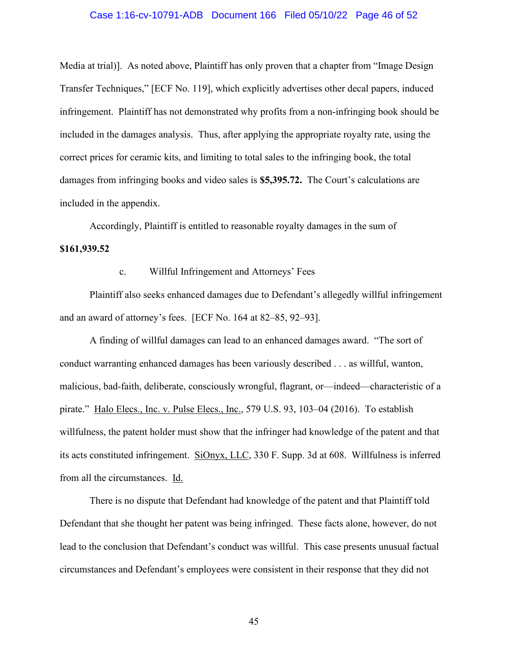#### Case 1:16-cv-10791-ADB Document 166 Filed 05/10/22 Page 46 of 52

Media at trial)]. As noted above, Plaintiff has only proven that a chapter from "Image Design Transfer Techniques," [ECF No. 119], which explicitly advertises other decal papers, induced infringement. Plaintiff has not demonstrated why profits from a non-infringing book should be included in the damages analysis. Thus, after applying the appropriate royalty rate, using the correct prices for ceramic kits, and limiting to total sales to the infringing book, the total damages from infringing books and video sales is **\$5,395.72.** The Court's calculations are included in the appendix.

Accordingly, Plaintiff is entitled to reasonable royalty damages in the sum of **\$161,939.52**

c. Willful Infringement and Attorneys' Fees

Plaintiff also seeks enhanced damages due to Defendant's allegedly willful infringement and an award of attorney's fees. [ECF No. 164 at 82–85, 92–93].

A finding of willful damages can lead to an enhanced damages award. "The sort of conduct warranting enhanced damages has been variously described . . . as willful, wanton, malicious, bad-faith, deliberate, consciously wrongful, flagrant, or—indeed—characteristic of a pirate." Halo Elecs., Inc. v. Pulse Elecs., Inc., 579 U.S. 93, 103–04 (2016). To establish willfulness, the patent holder must show that the infringer had knowledge of the patent and that its acts constituted infringement. SiOnyx, LLC, 330 F. Supp. 3d at 608. Willfulness is inferred from all the circumstances. Id.

There is no dispute that Defendant had knowledge of the patent and that Plaintiff told Defendant that she thought her patent was being infringed. These facts alone, however, do not lead to the conclusion that Defendant's conduct was willful. This case presents unusual factual circumstances and Defendant's employees were consistent in their response that they did not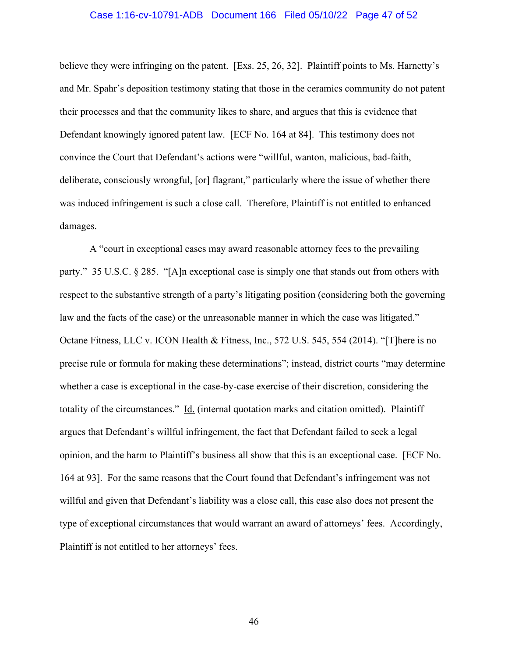#### Case 1:16-cv-10791-ADB Document 166 Filed 05/10/22 Page 47 of 52

believe they were infringing on the patent. [Exs. 25, 26, 32]. Plaintiff points to Ms. Harnetty's and Mr. Spahr's deposition testimony stating that those in the ceramics community do not patent their processes and that the community likes to share, and argues that this is evidence that Defendant knowingly ignored patent law. [ECF No. 164 at 84]. This testimony does not convince the Court that Defendant's actions were "willful, wanton, malicious, bad-faith, deliberate, consciously wrongful, [or] flagrant," particularly where the issue of whether there was induced infringement is such a close call. Therefore, Plaintiff is not entitled to enhanced damages.

A "court in exceptional cases may award reasonable attorney fees to the prevailing party." 35 U.S.C. § 285. "[A]n exceptional case is simply one that stands out from others with respect to the substantive strength of a party's litigating position (considering both the governing law and the facts of the case) or the unreasonable manner in which the case was litigated." Octane Fitness, LLC v. ICON Health & Fitness, Inc., 572 U.S. 545, 554 (2014). "[T]here is no precise rule or formula for making these determinations"; instead, district courts "may determine whether a case is exceptional in the case-by-case exercise of their discretion, considering the totality of the circumstances." Id. (internal quotation marks and citation omitted). Plaintiff argues that Defendant's willful infringement, the fact that Defendant failed to seek a legal opinion, and the harm to Plaintiff's business all show that this is an exceptional case. [ECF No. 164 at 93]. For the same reasons that the Court found that Defendant's infringement was not willful and given that Defendant's liability was a close call, this case also does not present the type of exceptional circumstances that would warrant an award of attorneys' fees. Accordingly, Plaintiff is not entitled to her attorneys' fees.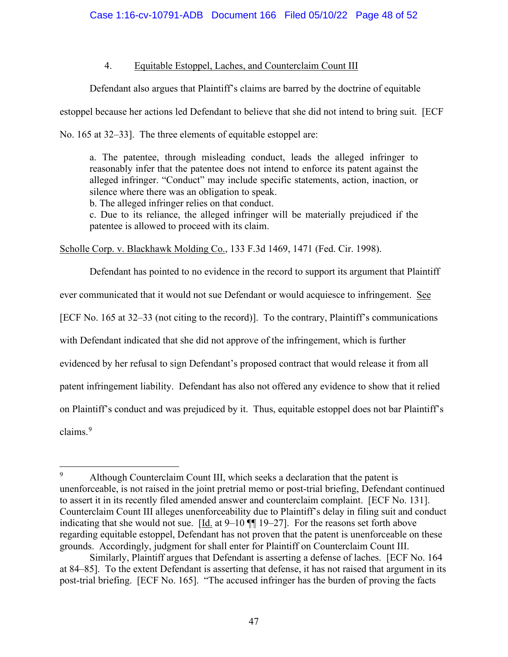### 4. Equitable Estoppel, Laches, and Counterclaim Count III

Defendant also argues that Plaintiff's claims are barred by the doctrine of equitable

estoppel because her actions led Defendant to believe that she did not intend to bring suit. [ECF

No. 165 at 32–33]. The three elements of equitable estoppel are:

a. The patentee, through misleading conduct, leads the alleged infringer to reasonably infer that the patentee does not intend to enforce its patent against the alleged infringer. "Conduct" may include specific statements, action, inaction, or silence where there was an obligation to speak.

b. The alleged infringer relies on that conduct.

c. Due to its reliance, the alleged infringer will be materially prejudiced if the patentee is allowed to proceed with its claim.

Scholle Corp. v. Blackhawk Molding Co., 133 F.3d 1469, 1471 (Fed. Cir. 1998).

Defendant has pointed to no evidence in the record to support its argument that Plaintiff ever communicated that it would not sue Defendant or would acquiesce to infringement. See [ECF No. 165 at 32–33 (not citing to the record)]. To the contrary, Plaintiff's communications with Defendant indicated that she did not approve of the infringement, which is further evidenced by her refusal to sign Defendant's proposed contract that would release it from all patent infringement liability. Defendant has also not offered any evidence to show that it relied on Plaintiff's conduct and was prejudiced by it. Thus, equitable estoppel does not bar Plaintiff's claims.<sup>9</sup>

<sup>9</sup> Although Counterclaim Count III, which seeks a declaration that the patent is unenforceable, is not raised in the joint pretrial memo or post-trial briefing, Defendant continued to assert it in its recently filed amended answer and counterclaim complaint. [ECF No. 131]. Counterclaim Count III alleges unenforceability due to Plaintiff's delay in filing suit and conduct indicating that she would not sue.  $[\underline{Id}$  at 9–10  $\P$  19–27]. For the reasons set forth above regarding equitable estoppel, Defendant has not proven that the patent is unenforceable on these grounds. Accordingly, judgment for shall enter for Plaintiff on Counterclaim Count III.

Similarly, Plaintiff argues that Defendant is asserting a defense of laches. [ECF No. 164 at 84–85]. To the extent Defendant is asserting that defense, it has not raised that argument in its post-trial briefing. [ECF No. 165]. "The accused infringer has the burden of proving the facts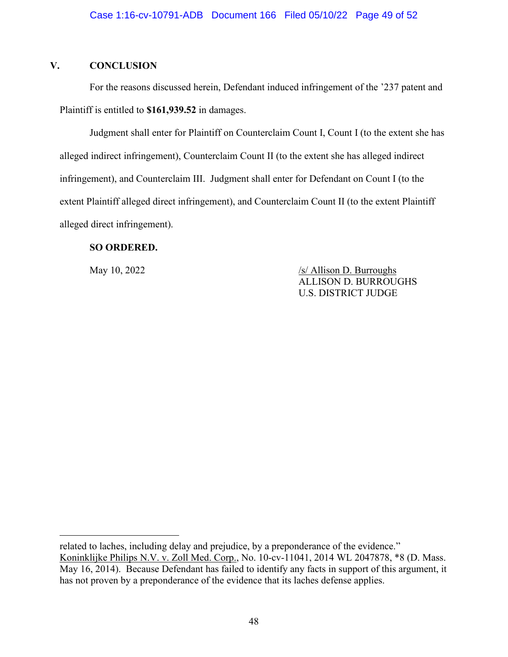## **V. CONCLUSION**

For the reasons discussed herein, Defendant induced infringement of the '237 patent and Plaintiff is entitled to **\$161,939.52** in damages.

Judgment shall enter for Plaintiff on Counterclaim Count I, Count I (to the extent she has alleged indirect infringement), Counterclaim Count II (to the extent she has alleged indirect infringement), and Counterclaim III. Judgment shall enter for Defendant on Count I (to the extent Plaintiff alleged direct infringement), and Counterclaim Count II (to the extent Plaintiff alleged direct infringement).

### **SO ORDERED.**

May 10, 2022 /s/ Allison D. Burroughs ALLISON D. BURROUGHS U.S. DISTRICT JUDGE

related to laches, including delay and prejudice, by a preponderance of the evidence."

Koninklijke Philips N.V. v. Zoll Med. Corp., No. 10-cv-11041, 2014 WL 2047878, \*8 (D. Mass. May 16, 2014). Because Defendant has failed to identify any facts in support of this argument, it has not proven by a preponderance of the evidence that its laches defense applies.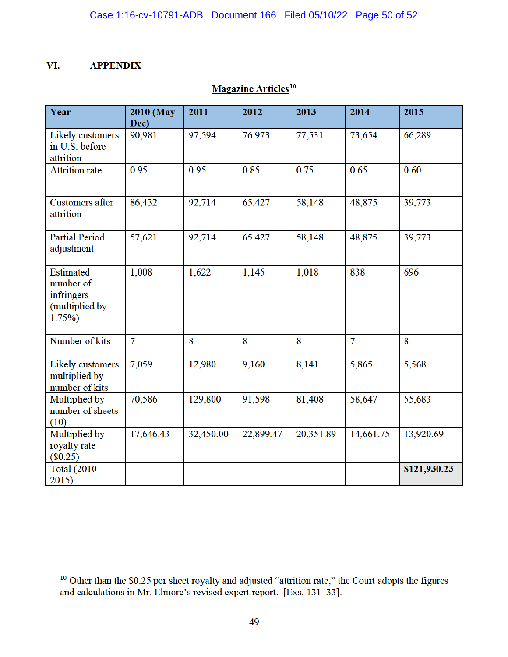#### VI. **APPENDIX**

| Year                                                            | 2010 (May-<br>Dec) | 2011      | 2012      | 2013      | 2014           | 2015         |
|-----------------------------------------------------------------|--------------------|-----------|-----------|-----------|----------------|--------------|
| Likely customers<br>in U.S. before<br>attrition                 | 90,981             | 97,594    | 76,973    | 77,531    | 73,654         | 66,289       |
| <b>Attrition rate</b>                                           | 0.95               | 0.95      | 0.85      | 0.75      | 0.65           | 0.60         |
| <b>Customers after</b><br>attrition                             | 86,432             | 92,714    | 65,427    | 58,148    | 48,875         | 39,773       |
| <b>Partial Period</b><br>adjustment                             | 57,621             | 92,714    | 65,427    | 58,148    | 48,875         | 39,773       |
| Estimated<br>number of<br>infringers<br>(multiplied by<br>1.75% | 1,008              | 1,622     | 1,145     | 1,018     | 838            | 696          |
| Number of kits                                                  | $\overline{7}$     | 8         | 8         | 8         | $\overline{7}$ | 8            |
| Likely customers<br>multiplied by<br>number of kits             | 7,059              | 12,980    | 9,160     | 8,141     | 5,865          | 5,568        |
| Multiplied by<br>number of sheets<br>(10)                       | 70,586             | 129,800   | 91,598    | 81,408    | 58,647         | 55,683       |
| Multiplied by<br>royalty rate<br>$(\$0.25)$                     | 17,646.43          | 32,450.00 | 22,899.47 | 20,351.89 | 14,661.75      | 13,920.69    |
| Total (2010-<br>2015)                                           |                    |           |           |           |                | \$121,930.23 |

# Magazine Articles<sup>10</sup>

<sup>&</sup>lt;sup>10</sup> Other than the \$0.25 per sheet royalty and adjusted "attrition rate," the Court adopts the figures and calculations in Mr. Elmore's revised expert report. [Exs. 131–33].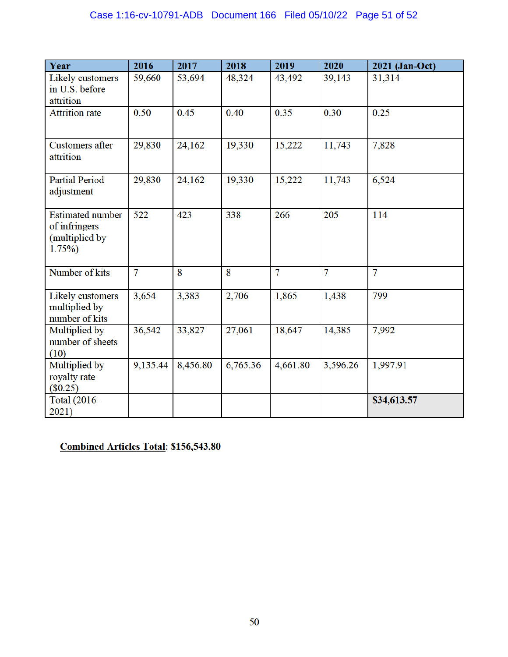| Year                                                                | 2016     | 2017     | 2018     | 2019     | 2020           | 2021 (Jan-Oct) |
|---------------------------------------------------------------------|----------|----------|----------|----------|----------------|----------------|
| Likely customers<br>in U.S. before<br>attrition                     | 59,660   | 53,694   | 48,324   | 43,492   | 39,143         | 31,314         |
| <b>Attrition</b> rate                                               | 0.50     | 0.45     | 0.40     | 0.35     | 0.30           | 0.25           |
| <b>Customers</b> after<br>attrition                                 | 29,830   | 24,162   | 19,330   | 15,222   | 11,743         | 7,828          |
| <b>Partial Period</b><br>adjustment                                 | 29,830   | 24,162   | 19,330   | 15,222   | 11,743         | 6,524          |
| <b>Estimated number</b><br>of infringers<br>(multiplied by<br>1.75% | 522      | 423      | 338      | 266      | 205            | 114            |
| Number of kits                                                      | 7        | 8        | 8        | 7        | $\overline{7}$ | 7              |
| Likely customers<br>multiplied by<br>number of kits                 | 3,654    | 3,383    | 2,706    | 1,865    | 1,438          | 799            |
| Multiplied by<br>number of sheets<br>(10)                           | 36,542   | 33,827   | 27,061   | 18,647   | 14,385         | 7,992          |
| Multiplied by<br>royalty rate<br>$(\$0.25)$                         | 9,135.44 | 8,456.80 | 6,765.36 | 4,661.80 | 3,596.26       | 1,997.91       |
| Total (2016-<br>2021)                                               |          |          |          |          |                | \$34,613.57    |

**Combined Articles Total: \$156,543.80**